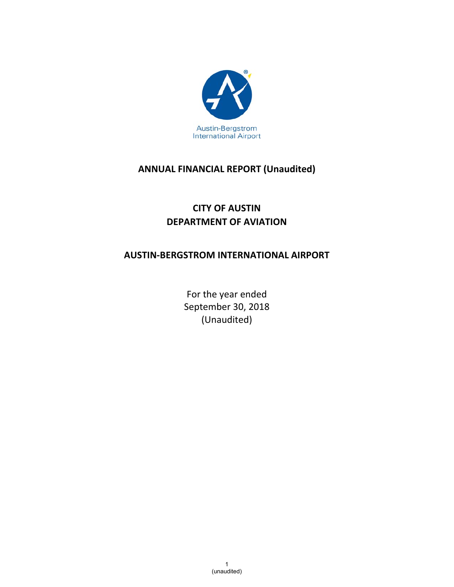

# **ANNUAL FINANCIAL REPORT (Unaudited)**

# **CITY OF AUSTIN DEPARTMENT OF AVIATION**

# **AUSTIN‐BERGSTROM INTERNATIONAL AIRPORT**

For the year ended September 30, 2018 (Unaudited)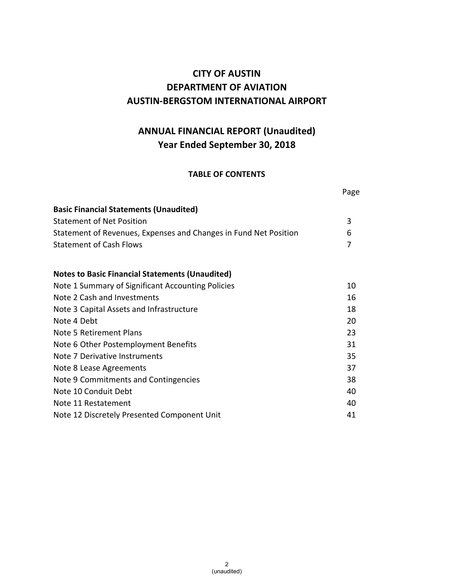# **CITY OF AUSTIN DEPARTMENT OF AVIATION AUSTIN‐BERGSTOM INTERNATIONAL AIRPORT**

# **ANNUAL FINANCIAL REPORT (Unaudited) Year Ended September 30, 2018**

#### **TABLE OF CONTENTS**

|                                                                  | Page |
|------------------------------------------------------------------|------|
| <b>Basic Financial Statements (Unaudited)</b>                    |      |
| <b>Statement of Net Position</b>                                 | 3    |
| Statement of Revenues, Expenses and Changes in Fund Net Position | 6    |
| <b>Statement of Cash Flows</b>                                   | 7    |
| <b>Notes to Basic Financial Statements (Unaudited)</b>           |      |
| Note 1 Summary of Significant Accounting Policies                | 10   |
| Note 2 Cash and Investments                                      | 16   |
| Note 3 Capital Assets and Infrastructure                         | 18   |
| Note 4 Debt                                                      | 20   |
| Note 5 Retirement Plans                                          | 23   |
| Note 6 Other Postemployment Benefits                             | 31   |
| Note 7 Derivative Instruments                                    | 35   |
| Note 8 Lease Agreements                                          | 37   |
| Note 9 Commitments and Contingencies                             | 38   |
| Note 10 Conduit Debt                                             | 40   |
| Note 11 Restatement                                              | 40   |
| Note 12 Discretely Presented Component Unit                      | 41   |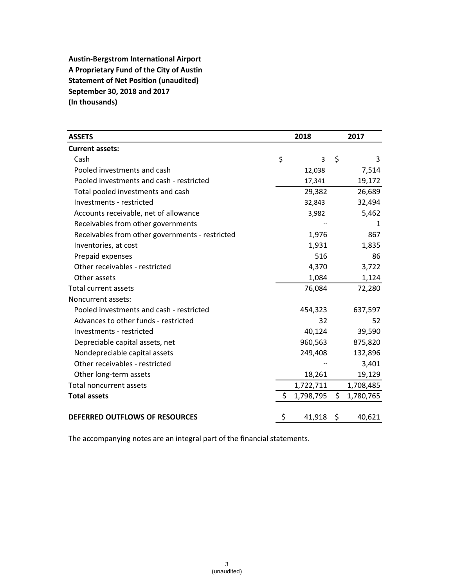**Austin‐Bergstrom International Airport A Proprietary Fund of the City of Austin Statement of Net Position (unaudited) September 30, 2018 and 2017 (In thousands)**

| <b>ASSETS</b>                                   | 2018 |                |    | 2017      |
|-------------------------------------------------|------|----------------|----|-----------|
| <b>Current assets:</b>                          |      |                |    |           |
| Cash                                            | \$   | $\overline{3}$ | \$ | 3         |
| Pooled investments and cash                     |      | 12,038         |    | 7,514     |
| Pooled investments and cash - restricted        |      | 17,341         |    | 19,172    |
| Total pooled investments and cash               |      | 29,382         |    | 26,689    |
| Investments - restricted                        |      | 32,843         |    | 32,494    |
| Accounts receivable, net of allowance           |      | 3,982          |    | 5,462     |
| Receivables from other governments              |      |                |    | 1         |
| Receivables from other governments - restricted |      | 1,976          |    | 867       |
| Inventories, at cost                            |      | 1,931          |    | 1,835     |
| Prepaid expenses                                |      | 516            |    | 86        |
| Other receivables - restricted                  |      | 4,370          |    | 3,722     |
| Other assets                                    |      | 1,084          |    | 1,124     |
| Total current assets                            |      | 76,084         |    | 72,280    |
| Noncurrent assets:                              |      |                |    |           |
| Pooled investments and cash - restricted        |      | 454,323        |    | 637,597   |
| Advances to other funds - restricted            |      | 32             |    | 52        |
| Investments - restricted                        |      | 40,124         |    | 39,590    |
| Depreciable capital assets, net                 |      | 960,563        |    | 875,820   |
| Nondepreciable capital assets                   |      | 249,408        |    | 132,896   |
| Other receivables - restricted                  |      |                |    | 3,401     |
| Other long-term assets                          |      | 18,261         |    | 19,129    |
| <b>Total noncurrent assets</b>                  |      | 1,722,711      |    | 1,708,485 |
| <b>Total assets</b>                             | \$.  | 1,798,795      | \$ | 1,780,765 |
| DEFERRED OUTFLOWS OF RESOURCES                  | \$   | 41,918         | \$ | 40,621    |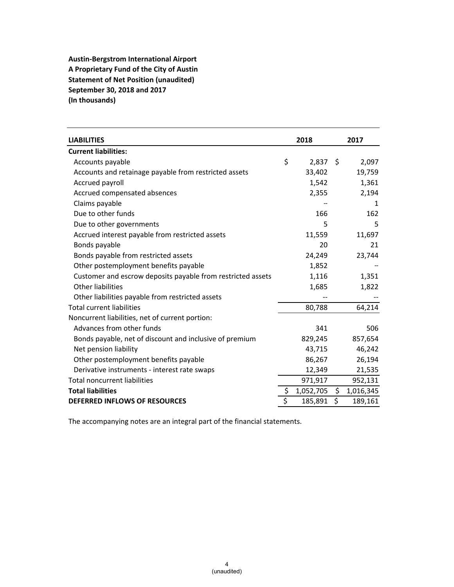**Austin‐Bergstrom International Airport A Proprietary Fund of the City of Austin Statement of Net Position (unaudited) September 30, 2018 and 2017 (In thousands)**

| <b>LIABILITIES</b>                                          | 2018 |            |    | 2017      |  |
|-------------------------------------------------------------|------|------------|----|-----------|--|
| <b>Current liabilities:</b>                                 |      |            |    |           |  |
| Accounts payable                                            | \$   | $2,837$ \$ |    | 2,097     |  |
| Accounts and retainage payable from restricted assets       |      | 33,402     |    | 19,759    |  |
| Accrued payroll                                             |      | 1,542      |    | 1,361     |  |
| Accrued compensated absences                                |      | 2,355      |    | 2,194     |  |
| Claims payable                                              |      |            |    | 1         |  |
| Due to other funds                                          |      | 166        |    | 162       |  |
| Due to other governments                                    |      | 5          |    | 5         |  |
| Accrued interest payable from restricted assets             |      | 11,559     |    | 11,697    |  |
| Bonds payable                                               |      | 20         |    | 21        |  |
| Bonds payable from restricted assets                        |      | 24,249     |    | 23,744    |  |
| Other postemployment benefits payable                       |      | 1,852      |    |           |  |
| Customer and escrow deposits payable from restricted assets |      | 1,116      |    | 1,351     |  |
| <b>Other liabilities</b>                                    |      | 1,685      |    | 1,822     |  |
| Other liabilities payable from restricted assets            |      |            |    |           |  |
| <b>Total current liabilities</b>                            |      | 80,788     |    | 64,214    |  |
| Noncurrent liabilities, net of current portion:             |      |            |    |           |  |
| Advances from other funds                                   |      | 341        |    | 506       |  |
| Bonds payable, net of discount and inclusive of premium     |      | 829,245    |    | 857,654   |  |
| Net pension liability                                       |      | 43,715     |    | 46,242    |  |
| Other postemployment benefits payable                       |      | 86,267     |    | 26,194    |  |
| Derivative instruments - interest rate swaps                |      | 12,349     |    | 21,535    |  |
| <b>Total noncurrent liabilities</b>                         |      | 971,917    |    | 952,131   |  |
| <b>Total liabilities</b>                                    | \$   | 1,052,705  | \$ | 1,016,345 |  |
| <b>DEFERRED INFLOWS OF RESOURCES</b>                        | \$   | 185,891    | \$ | 189,161   |  |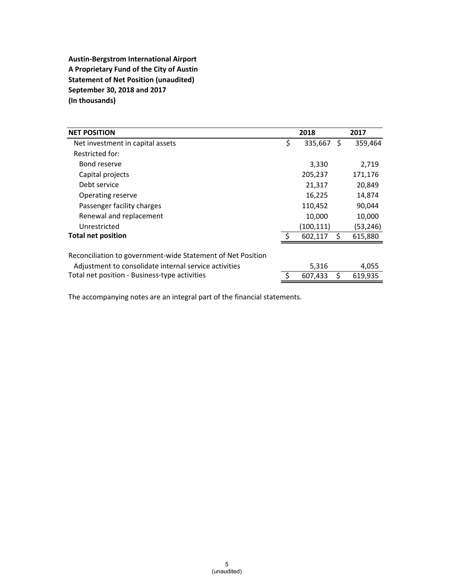**Austin‐Bergstrom International Airport A Proprietary Fund of the City of Austin Statement of Net Position (unaudited) September 30, 2018 and 2017 (In thousands)**

| <b>NET POSITION</b>                                         | 2018          |    | 2017      |
|-------------------------------------------------------------|---------------|----|-----------|
| Net investment in capital assets                            | \$<br>335,667 | S  | 359,464   |
| Restricted for:                                             |               |    |           |
| Bond reserve                                                | 3,330         |    | 2,719     |
| Capital projects                                            | 205,237       |    | 171,176   |
| Debt service                                                | 21,317        |    | 20,849    |
| Operating reserve                                           | 16,225        |    | 14,874    |
| Passenger facility charges                                  | 110,452       |    | 90,044    |
| Renewal and replacement                                     | 10,000        |    | 10,000    |
| Unrestricted                                                | (100, 111)    |    | (53, 246) |
| <b>Total net position</b>                                   | 602,117       | Ŝ. | 615,880   |
|                                                             |               |    |           |
| Reconciliation to government-wide Statement of Net Position |               |    |           |
| Adjustment to consolidate internal service activities       | 5,316         |    | 4,055     |
| Total net position - Business-type activities               | 607,433       | Ś. | 619,935   |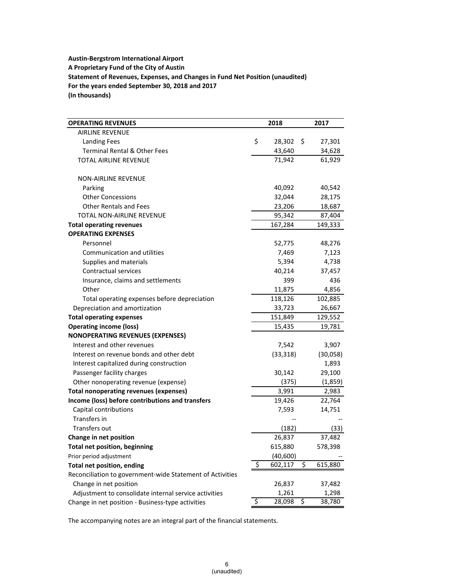#### **Austin‐Bergstrom International Airport A Proprietary Fund of the City of Austin Statement of Revenues, Expenses, and Changes in Fund Net Position (unaudited) For the years ended September 30, 2018 and 2017 (In thousands)**

| <b>OPERATING REVENUES</b>                                 | 2018          | 2017          |
|-----------------------------------------------------------|---------------|---------------|
| <b>AIRLINE REVENUE</b>                                    |               |               |
| <b>Landing Fees</b>                                       | \$<br>28,302  | \$<br>27,301  |
| <b>Terminal Rental &amp; Other Fees</b>                   | 43,640        | 34,628        |
| <b>TOTAL AIRLINE REVENUE</b>                              | 71,942        | 61,929        |
| <b>NON-AIRLINE REVENUE</b>                                |               |               |
| Parking                                                   | 40,092        | 40,542        |
| <b>Other Concessions</b>                                  | 32,044        | 28,175        |
| <b>Other Rentals and Fees</b>                             | 23,206        | 18,687        |
| <b>TOTAL NON-AIRLINE REVENUE</b>                          | 95,342        | 87,404        |
| <b>Total operating revenues</b>                           | 167,284       | 149,333       |
| <b>OPERATING EXPENSES</b>                                 |               |               |
| Personnel                                                 | 52,775        | 48,276        |
| Communication and utilities                               | 7,469         | 7,123         |
| Supplies and materials                                    | 5,394         | 4,738         |
| Contractual services                                      | 40,214        | 37,457        |
| Insurance, claims and settlements                         | 399           | 436           |
| Other                                                     | 11,875        | 4,856         |
| Total operating expenses before depreciation              | 118,126       | 102,885       |
| Depreciation and amortization                             | 33,723        | 26,667        |
| <b>Total operating expenses</b>                           | 151,849       | 129,552       |
| <b>Operating income (loss)</b>                            | 15,435        | 19,781        |
| <b>NONOPERATING REVENUES (EXPENSES)</b>                   |               |               |
| Interest and other revenues                               | 7,542         | 3,907         |
| Interest on revenue bonds and other debt                  | (33, 318)     | (30,058)      |
| Interest capitalized during construction                  |               | 1,893         |
| Passenger facility charges                                | 30,142        | 29,100        |
| Other nonoperating revenue (expense)                      | (375)         | (1,859)       |
| <b>Total nonoperating revenues (expenses)</b>             | 3,991         | 2,983         |
| Income (loss) before contributions and transfers          | 19,426        | 22,764        |
| Capital contributions                                     | 7,593         | 14,751        |
| Transfers in                                              |               |               |
| Transfers out                                             | (182)         | (33)          |
| Change in net position                                    | 26,837        | 37,482        |
| <b>Total net position, beginning</b>                      | 615,880       | 578,398       |
| Prior period adjustment                                   | (40, 600)     |               |
| Total net position, ending                                | \$<br>602,117 | \$<br>615,880 |
| Reconciliation to government-wide Statement of Activities |               |               |
| Change in net position                                    | 26,837        | 37,482        |
| Adjustment to consolidate internal service activities     | 1,261         | 1,298         |
| Change in net position - Business-type activities         | \$<br>28,098  | \$<br>38,780  |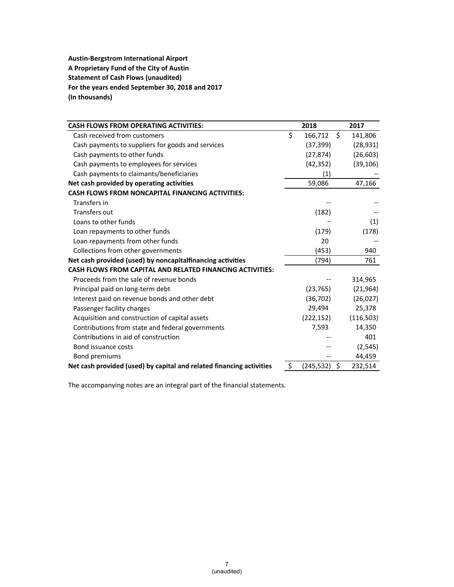**Austin‐Bergstrom International Airport A Proprietary Fund of the City of Austin Statement of Cash Flows (unaudited) For the years ended September 30, 2018 and 2017 (In thousands)**

| <b>CASH FLOWS FROM OPERATING ACTIVITIES:</b>                         | 2018              | 2017          |
|----------------------------------------------------------------------|-------------------|---------------|
| Cash received from customers                                         | \$<br>166,712     | \$<br>141,806 |
| Cash payments to suppliers for goods and services                    | (37, 399)         | (28, 931)     |
| Cash payments to other funds                                         | (27,874)          | (26, 603)     |
| Cash payments to employees for services                              | (42, 352)         | (39, 106)     |
| Cash payments to claimants/beneficiaries                             | $\left( 1\right)$ |               |
| Net cash provided by operating activities                            | 59,086            | 47,166        |
| <b>CASH FLOWS FROM NONCAPITAL FINANCING ACTIVITIES:</b>              |                   |               |
| Transfers in                                                         |                   |               |
| Transfers out                                                        | (182)             |               |
| Loans to other funds                                                 |                   | (1)           |
| Loan repayments to other funds                                       | (179)             | (178)         |
| Loan repayments from other funds                                     | 20                |               |
| Collections from other governments                                   | (453)             | 940           |
| Net cash provided (used) by noncapitalfinancing activities           | (794)             | 761           |
| <b>CASH FLOWS FROM CAPITAL AND RELATED FINANCING ACTIVITIES:</b>     |                   |               |
| Proceeds from the sale of revenue bonds                              |                   | 314,965       |
| Principal paid on long-term debt                                     | (23, 765)         | (21, 964)     |
| Interest paid on revenue bonds and other debt                        | (36, 702)         | (26, 027)     |
| Passenger facility charges                                           | 29,494            | 25,378        |
| Acquisition and construction of capital assets                       | (222, 152)        | (116, 503)    |
| Contributions from state and federal governments                     | 7,593             | 14,350        |
| Contributions in aid of construction                                 |                   | 401           |
| Bond issuance costs                                                  |                   | (2, 545)      |
| Bond premiums                                                        |                   | 44,459        |
| Net cash provided (used) by capital and related financing activities | \$<br>(245, 532)  | \$<br>232,514 |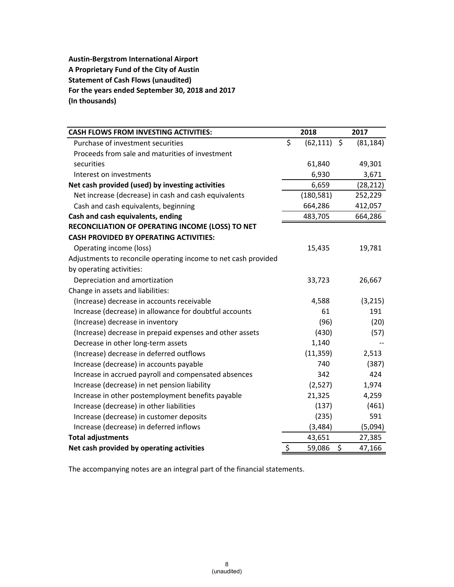**Austin‐Bergstrom International Airport A Proprietary Fund of the City of Austin Statement of Cash Flows (unaudited) For the years ended September 30, 2018 and 2017 (In thousands)**

| <b>CASH FLOWS FROM INVESTING ACTIVITIES:</b>                   | 2018            | 2017            |
|----------------------------------------------------------------|-----------------|-----------------|
| Purchase of investment securities                              | \$<br>(62, 111) | \$<br>(81, 184) |
| Proceeds from sale and maturities of investment                |                 |                 |
| securities                                                     | 61,840          | 49,301          |
| Interest on investments                                        | 6,930           | 3,671           |
| Net cash provided (used) by investing activities               | 6,659           | (28, 212)       |
| Net increase (decrease) in cash and cash equivalents           | (180, 581)      | 252,229         |
| Cash and cash equivalents, beginning                           | 664,286         | 412,057         |
| Cash and cash equivalents, ending                              | 483,705         | 664,286         |
| RECONCILIATION OF OPERATING INCOME (LOSS) TO NET               |                 |                 |
| <b>CASH PROVIDED BY OPERATING ACTIVITIES:</b>                  |                 |                 |
| Operating income (loss)                                        | 15,435          | 19,781          |
| Adjustments to reconcile operating income to net cash provided |                 |                 |
| by operating activities:                                       |                 |                 |
| Depreciation and amortization                                  | 33,723          | 26,667          |
| Change in assets and liabilities:                              |                 |                 |
| (Increase) decrease in accounts receivable                     | 4,588           | (3, 215)        |
| Increase (decrease) in allowance for doubtful accounts         | 61              | 191             |
| (Increase) decrease in inventory                               | (96)            | (20)            |
| (Increase) decrease in prepaid expenses and other assets       | (430)           | (57)            |
| Decrease in other long-term assets                             | 1,140           |                 |
| (Increase) decrease in deferred outflows                       | (11, 359)       | 2,513           |
| Increase (decrease) in accounts payable                        | 740             | (387)           |
| Increase in accrued payroll and compensated absences           | 342             | 424             |
| Increase (decrease) in net pension liability                   | (2,527)         | 1,974           |
| Increase in other postemployment benefits payable              | 21,325          | 4,259           |
| Increase (decrease) in other liabilities                       | (137)           | (461)           |
| Increase (decrease) in customer deposits                       | (235)           | 591             |
| Increase (decrease) in deferred inflows                        | (3, 484)        | (5,094)         |
| <b>Total adjustments</b>                                       | 43,651          | 27,385          |
| Net cash provided by operating activities                      | \$<br>59,086    | \$<br>47,166    |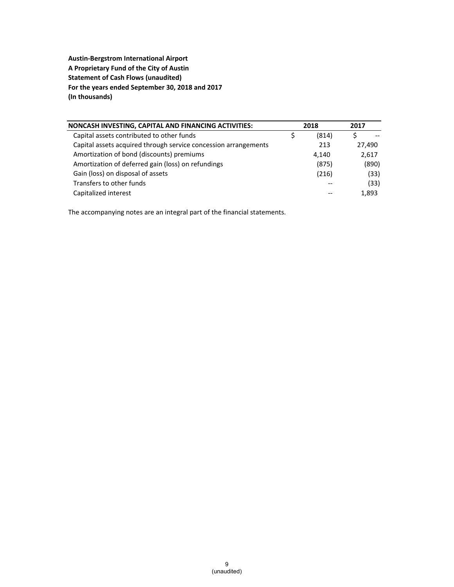**Austin‐Bergstrom International Airport A Proprietary Fund of the City of Austin Statement of Cash Flows (unaudited) For the years ended September 30, 2018 and 2017 (In thousands)**

| NONCASH INVESTING, CAPITAL AND FINANCING ACTIVITIES:            | 2018  | 2017   |
|-----------------------------------------------------------------|-------|--------|
| Capital assets contributed to other funds                       | (814) |        |
| Capital assets acquired through service concession arrangements | 213   | 27,490 |
| Amortization of bond (discounts) premiums                       | 4,140 | 2,617  |
| Amortization of deferred gain (loss) on refundings              | (875) | (890)  |
| Gain (loss) on disposal of assets                               | (216) | (33)   |
| Transfers to other funds                                        |       | (33)   |
| Capitalized interest                                            | --    | 1,893  |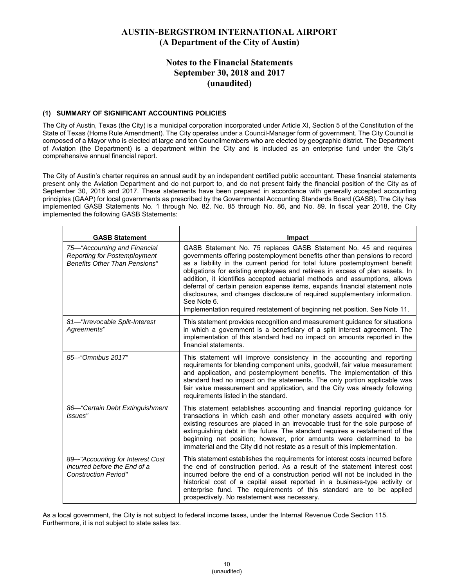### **Notes to the Financial Statements September 30, 2018 and 2017 (unaudited)**

#### **(1) SUMMARY OF SIGNIFICANT ACCOUNTING POLICIES**

The City of Austin, Texas (the City) is a municipal corporation incorporated under Article XI, Section 5 of the Constitution of the State of Texas (Home Rule Amendment). The City operates under a Council-Manager form of government. The City Council is composed of a Mayor who is elected at large and ten Councilmembers who are elected by geographic district. The Department of Aviation (the Department) is a department within the City and is included as an enterprise fund under the City's comprehensive annual financial report.

The City of Austin's charter requires an annual audit by an independent certified public accountant. These financial statements present only the Aviation Department and do not purport to, and do not present fairly the financial position of the City as of September 30, 2018 and 2017. These statements have been prepared in accordance with generally accepted accounting principles (GAAP) for local governments as prescribed by the Governmental Accounting Standards Board (GASB). The City has implemented GASB Statements No. 1 through No. 82, No. 85 through No. 86, and No. 89. In fiscal year 2018, the City implemented the following GASB Statements:

| <b>GASB Statement</b>                                                                                | <b>Impact</b>                                                                                                                                                                                                                                                                                                                                                                                                                                                                                                                                                                                                                                            |
|------------------------------------------------------------------------------------------------------|----------------------------------------------------------------------------------------------------------------------------------------------------------------------------------------------------------------------------------------------------------------------------------------------------------------------------------------------------------------------------------------------------------------------------------------------------------------------------------------------------------------------------------------------------------------------------------------------------------------------------------------------------------|
| 75–"Accounting and Financial<br>Reporting for Postemployment<br><b>Benefits Other Than Pensions"</b> | GASB Statement No. 75 replaces GASB Statement No. 45 and requires<br>governments offering postemployment benefits other than pensions to record<br>as a liability in the current period for total future postemployment benefit<br>obligations for existing employees and retirees in excess of plan assets. In<br>addition, it identifies accepted actuarial methods and assumptions, allows<br>deferral of certain pension expense items, expands financial statement note<br>disclosures, and changes disclosure of required supplementary information.<br>See Note 6.<br>Implementation required restatement of beginning net position. See Note 11. |
| 81-"Irrevocable Split-Interest<br>Agreements"                                                        | This statement provides recognition and measurement guidance for situations<br>in which a government is a beneficiary of a split interest agreement. The<br>implementation of this standard had no impact on amounts reported in the<br>financial statements.                                                                                                                                                                                                                                                                                                                                                                                            |
| 85--"Omnibus 2017"                                                                                   | This statement will improve consistency in the accounting and reporting<br>requirements for blending component units, goodwill, fair value measurement<br>and application, and postemployment benefits. The implementation of this<br>standard had no impact on the statements. The only portion applicable was<br>fair value measurement and application, and the City was already following<br>requirements listed in the standard.                                                                                                                                                                                                                    |
| 86-"Certain Debt Extinguishment<br>Issues"                                                           | This statement establishes accounting and financial reporting guidance for<br>transactions in which cash and other monetary assets acquired with only<br>existing resources are placed in an irrevocable trust for the sole purpose of<br>extinguishing debt in the future. The standard requires a restatement of the<br>beginning net position; however, prior amounts were determined to be<br>immaterial and the City did not restate as a result of this implementation.                                                                                                                                                                            |
| 89--"Accounting for Interest Cost<br>Incurred before the End of a<br><b>Construction Period"</b>     | This statement establishes the requirements for interest costs incurred before<br>the end of construction period. As a result of the statement interest cost<br>incurred before the end of a construction period will not be included in the<br>historical cost of a capital asset reported in a business-type activity or<br>enterprise fund. The requirements of this standard are to be applied<br>prospectively. No restatement was necessary.                                                                                                                                                                                                       |

As a local government, the City is not subject to federal income taxes, under the Internal Revenue Code Section 115. Furthermore, it is not subject to state sales tax.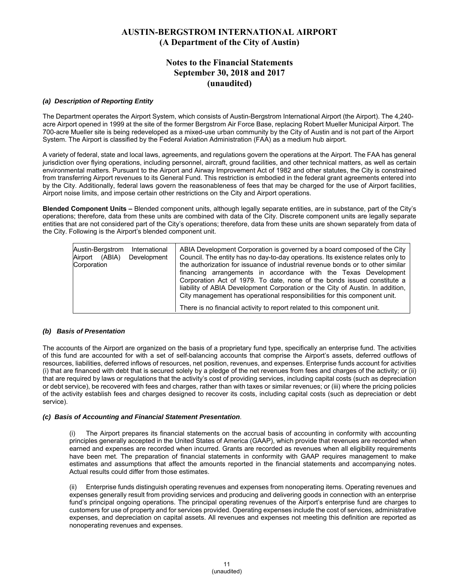### **Notes to the Financial Statements September 30, 2018 and 2017 (unaudited)**

#### *(a) Description of Reporting Entity*

The Department operates the Airport System, which consists of Austin-Bergstrom International Airport (the Airport). The 4,240 acre Airport opened in 1999 at the site of the former Bergstrom Air Force Base, replacing Robert Mueller Municipal Airport. The 700-acre Mueller site is being redeveloped as a mixed-use urban community by the City of Austin and is not part of the Airport System. The Airport is classified by the Federal Aviation Administration (FAA) as a medium hub airport.

A variety of federal, state and local laws, agreements, and regulations govern the operations at the Airport. The FAA has general jurisdiction over flying operations, including personnel, aircraft, ground facilities, and other technical matters, as well as certain environmental matters. Pursuant to the Airport and Airway Improvement Act of 1982 and other statutes, the City is constrained from transferring Airport revenues to its General Fund. This restriction is embodied in the federal grant agreements entered into by the City. Additionally, federal laws govern the reasonableness of fees that may be charged for the use of Airport facilities, Airport noise limits, and impose certain other restrictions on the City and Airport operations.

**Blended Component Units –** Blended component units, although legally separate entities, are in substance, part of the City's operations; therefore, data from these units are combined with data of the City. Discrete component units are legally separate entities that are not considered part of the City's operations; therefore, data from these units are shown separately from data of the City. Following is the Airport's blended component unit.

| Austin-Bergstrom<br>International<br>(ABIA)<br>Development<br>Airport<br>Corporation | ABIA Development Corporation is governed by a board composed of the City<br>Council. The entity has no day-to-day operations. Its existence relates only to<br>the authorization for issuance of industrial revenue bonds or to other similar<br>financing arrangements in accordance with the Texas Development<br>Corporation Act of 1979. To date, none of the bonds issued constitute a<br>liability of ABIA Development Corporation or the City of Austin. In addition,<br>City management has operational responsibilities for this component unit. |
|--------------------------------------------------------------------------------------|-----------------------------------------------------------------------------------------------------------------------------------------------------------------------------------------------------------------------------------------------------------------------------------------------------------------------------------------------------------------------------------------------------------------------------------------------------------------------------------------------------------------------------------------------------------|
|                                                                                      | There is no financial activity to report related to this component unit.                                                                                                                                                                                                                                                                                                                                                                                                                                                                                  |

#### *(b) Basis of Presentation*

The accounts of the Airport are organized on the basis of a proprietary fund type, specifically an enterprise fund. The activities of this fund are accounted for with a set of self-balancing accounts that comprise the Airport's assets, deferred outflows of resources, liabilities, deferred inflows of resources, net position, revenues, and expenses. Enterprise funds account for activities (i) that are financed with debt that is secured solely by a pledge of the net revenues from fees and charges of the activity; or (ii) that are required by laws or regulations that the activity's cost of providing services, including capital costs (such as depreciation or debt service), be recovered with fees and charges, rather than with taxes or similar revenues; or (iii) where the pricing policies of the activity establish fees and charges designed to recover its costs, including capital costs (such as depreciation or debt service).

#### *(c) Basis of Accounting and Financial Statement Presentation*.

The Airport prepares its financial statements on the accrual basis of accounting in conformity with accounting principles generally accepted in the United States of America (GAAP), which provide that revenues are recorded when earned and expenses are recorded when incurred. Grants are recorded as revenues when all eligibility requirements have been met. The preparation of financial statements in conformity with GAAP requires management to make estimates and assumptions that affect the amounts reported in the financial statements and accompanying notes. Actual results could differ from those estimates.

(ii) Enterprise funds distinguish operating revenues and expenses from nonoperating items. Operating revenues and expenses generally result from providing services and producing and delivering goods in connection with an enterprise fund's principal ongoing operations. The principal operating revenues of the Airport's enterprise fund are charges to customers for use of property and for services provided. Operating expenses include the cost of services, administrative expenses, and depreciation on capital assets. All revenues and expenses not meeting this definition are reported as nonoperating revenues and expenses.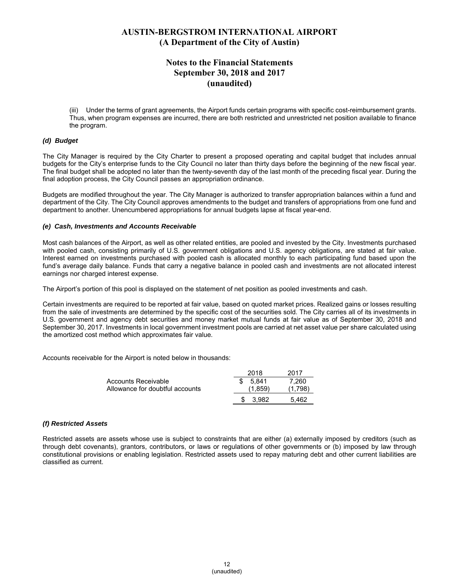### **Notes to the Financial Statements September 30, 2018 and 2017 (unaudited)**

(iii) Under the terms of grant agreements, the Airport funds certain programs with specific cost-reimbursement grants. Thus, when program expenses are incurred, there are both restricted and unrestricted net position available to finance the program.

#### *(d) Budget*

The City Manager is required by the City Charter to present a proposed operating and capital budget that includes annual budgets for the City's enterprise funds to the City Council no later than thirty days before the beginning of the new fiscal year. The final budget shall be adopted no later than the twenty-seventh day of the last month of the preceding fiscal year. During the final adoption process, the City Council passes an appropriation ordinance.

Budgets are modified throughout the year. The City Manager is authorized to transfer appropriation balances within a fund and department of the City. The City Council approves amendments to the budget and transfers of appropriations from one fund and department to another. Unencumbered appropriations for annual budgets lapse at fiscal year-end.

#### *(e) Cash, Investments and Accounts Receivable*

Most cash balances of the Airport, as well as other related entities, are pooled and invested by the City. Investments purchased with pooled cash, consisting primarily of U.S. government obligations and U.S. agency obligations, are stated at fair value. Interest earned on investments purchased with pooled cash is allocated monthly to each participating fund based upon the fund's average daily balance. Funds that carry a negative balance in pooled cash and investments are not allocated interest earnings nor charged interest expense.

The Airport's portion of this pool is displayed on the statement of net position as pooled investments and cash.

Certain investments are required to be reported at fair value, based on quoted market prices. Realized gains or losses resulting from the sale of investments are determined by the specific cost of the securities sold. The City carries all of its investments in U.S. government and agency debt securities and money market mutual funds at fair value as of September 30, 2018 and September 30, 2017. Investments in local government investment pools are carried at net asset value per share calculated using the amortized cost method which approximates fair value.

Accounts receivable for the Airport is noted below in thousands:

|                                 | 2018         | 2017    |
|---------------------------------|--------------|---------|
| Accounts Receivable             | 5.841        | 7.260   |
| Allowance for doubtful accounts | (1.859)      | (1.798) |
|                                 | 3.982<br>SS. | 5.462   |

#### *(f) Restricted Assets*

Restricted assets are assets whose use is subject to constraints that are either (a) externally imposed by creditors (such as through debt covenants), grantors, contributors, or laws or regulations of other governments or (b) imposed by law through constitutional provisions or enabling legislation. Restricted assets used to repay maturing debt and other current liabilities are classified as current.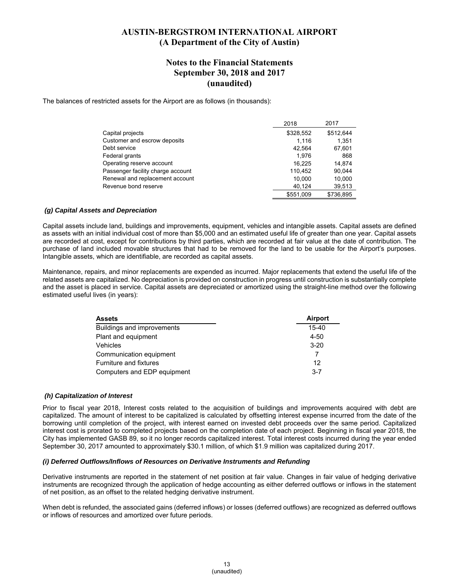#### **Notes to the Financial Statements September 30, 2018 and 2017 (unaudited)**

The balances of restricted assets for the Airport are as follows (in thousands):

|                                   | 2018      | 2017      |
|-----------------------------------|-----------|-----------|
| Capital projects                  | \$328,552 | \$512.644 |
| Customer and escrow deposits      | 1.116     | 1.351     |
| Debt service                      | 42,564    | 67,601    |
| Federal grants                    | 1.976     | 868       |
| Operating reserve account         | 16.225    | 14.874    |
| Passenger facility charge account | 110.452   | 90,044    |
| Renewal and replacement account   | 10,000    | 10,000    |
| Revenue bond reserve              | 40,124    | 39,513    |
|                                   | \$551.009 | \$736.895 |

#### *(g) Capital Assets and Depreciation*

Capital assets include land, buildings and improvements, equipment, vehicles and intangible assets. Capital assets are defined as assets with an initial individual cost of more than \$5,000 and an estimated useful life of greater than one year. Capital assets are recorded at cost, except for contributions by third parties, which are recorded at fair value at the date of contribution. The purchase of land included movable structures that had to be removed for the land to be usable for the Airport's purposes. Intangible assets, which are identifiable, are recorded as capital assets.

Maintenance, repairs, and minor replacements are expended as incurred. Major replacements that extend the useful life of the related assets are capitalized. No depreciation is provided on construction in progress until construction is substantially complete and the asset is placed in service. Capital assets are depreciated or amortized using the straight-line method over the following estimated useful lives (in years):

| <b>Assets</b>               | <b>Airport</b> |
|-----------------------------|----------------|
| Buildings and improvements  | $15 - 40$      |
| Plant and equipment         | $4 - 50$       |
| Vehicles                    | $3 - 20$       |
| Communication equipment     |                |
| Furniture and fixtures      | 12             |
| Computers and EDP equipment | $3 - 7$        |

#### *(h) Capitalization of Interest*

Prior to fiscal year 2018, Interest costs related to the acquisition of buildings and improvements acquired with debt are capitalized. The amount of interest to be capitalized is calculated by offsetting interest expense incurred from the date of the borrowing until completion of the project, with interest earned on invested debt proceeds over the same period. Capitalized interest cost is prorated to completed projects based on the completion date of each project. Beginning in fiscal year 2018, the City has implemented GASB 89, so it no longer records capitalized interest. Total interest costs incurred during the year ended September 30, 2017 amounted to approximately \$30.1 million, of which \$1.9 million was capitalized during 2017.

#### *(i) Deferred Outflows/Inflows of Resources on Derivative Instruments and Refunding*

Derivative instruments are reported in the statement of net position at fair value. Changes in fair value of hedging derivative instruments are recognized through the application of hedge accounting as either deferred outflows or inflows in the statement of net position, as an offset to the related hedging derivative instrument.

When debt is refunded, the associated gains (deferred inflows) or losses (deferred outflows) are recognized as deferred outflows or inflows of resources and amortized over future periods.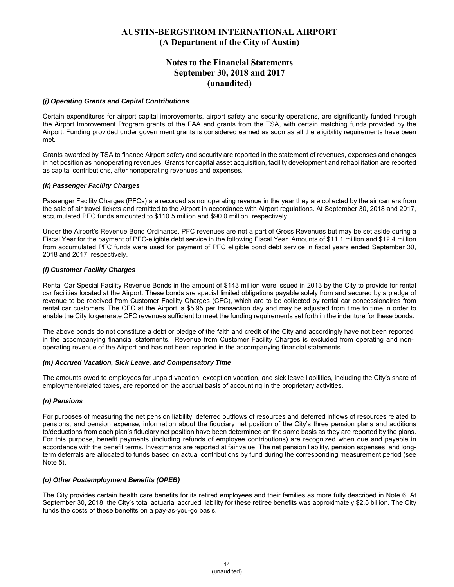### **Notes to the Financial Statements September 30, 2018 and 2017 (unaudited)**

#### *(j) Operating Grants and Capital Contributions*

Certain expenditures for airport capital improvements, airport safety and security operations, are significantly funded through the Airport Improvement Program grants of the FAA and grants from the TSA, with certain matching funds provided by the Airport. Funding provided under government grants is considered earned as soon as all the eligibility requirements have been met.

Grants awarded by TSA to finance Airport safety and security are reported in the statement of revenues, expenses and changes in net position as nonoperating revenues. Grants for capital asset acquisition, facility development and rehabilitation are reported as capital contributions, after nonoperating revenues and expenses.

#### *(k) Passenger Facility Charges*

Passenger Facility Charges (PFCs) are recorded as nonoperating revenue in the year they are collected by the air carriers from the sale of air travel tickets and remitted to the Airport in accordance with Airport regulations. At September 30, 2018 and 2017, accumulated PFC funds amounted to \$110.5 million and \$90.0 million, respectively.

Under the Airport's Revenue Bond Ordinance, PFC revenues are not a part of Gross Revenues but may be set aside during a Fiscal Year for the payment of PFC-eligible debt service in the following Fiscal Year. Amounts of \$11.1 million and \$12.4 million from accumulated PFC funds were used for payment of PFC eligible bond debt service in fiscal years ended September 30, 2018 and 2017, respectively.

#### *(l) Customer Facility Charges*

Rental Car Special Facility Revenue Bonds in the amount of \$143 million were issued in 2013 by the City to provide for rental car facilities located at the Airport. These bonds are special limited obligations payable solely from and secured by a pledge of revenue to be received from Customer Facility Charges (CFC), which are to be collected by rental car concessionaires from rental car customers. The CFC at the Airport is \$5.95 per transaction day and may be adjusted from time to time in order to enable the City to generate CFC revenues sufficient to meet the funding requirements set forth in the indenture for these bonds.

The above bonds do not constitute a debt or pledge of the faith and credit of the City and accordingly have not been reported in the accompanying financial statements. Revenue from Customer Facility Charges is excluded from operating and nonoperating revenue of the Airport and has not been reported in the accompanying financial statements.

#### *(m) Accrued Vacation, Sick Leave, and Compensatory Time*

The amounts owed to employees for unpaid vacation, exception vacation, and sick leave liabilities, including the City's share of employment-related taxes, are reported on the accrual basis of accounting in the proprietary activities.

#### *(n) Pensions*

For purposes of measuring the net pension liability, deferred outflows of resources and deferred inflows of resources related to pensions, and pension expense, information about the fiduciary net position of the City's three pension plans and additions to/deductions from each plan's fiduciary net position have been determined on the same basis as they are reported by the plans. For this purpose, benefit payments (including refunds of employee contributions) are recognized when due and payable in accordance with the benefit terms. Investments are reported at fair value. The net pension liability, pension expenses, and longterm deferrals are allocated to funds based on actual contributions by fund during the corresponding measurement period (see Note 5).

#### *(o) Other Postemployment Benefits (OPEB)*

The City provides certain health care benefits for its retired employees and their families as more fully described in Note 6. At September 30, 2018, the City's total actuarial accrued liability for these retiree benefits was approximately \$2.5 billion. The City funds the costs of these benefits on a pay-as-you-go basis.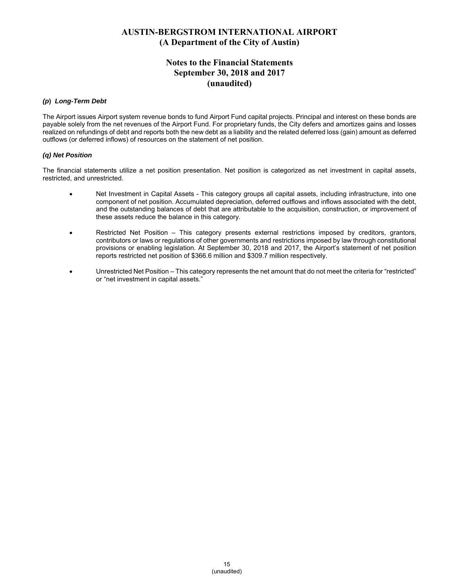### **Notes to the Financial Statements September 30, 2018 and 2017 (unaudited)**

#### *(p***)** *Long-Term Debt*

The Airport issues Airport system revenue bonds to fund Airport Fund capital projects. Principal and interest on these bonds are payable solely from the net revenues of the Airport Fund. For proprietary funds, the City defers and amortizes gains and losses realized on refundings of debt and reports both the new debt as a liability and the related deferred loss (gain) amount as deferred outflows (or deferred inflows) of resources on the statement of net position.

#### *(q) Net Position*

The financial statements utilize a net position presentation. Net position is categorized as net investment in capital assets, restricted, and unrestricted.

- Net Investment in Capital Assets This category groups all capital assets, including infrastructure, into one component of net position. Accumulated depreciation, deferred outflows and inflows associated with the debt, and the outstanding balances of debt that are attributable to the acquisition, construction, or improvement of these assets reduce the balance in this category.
- Restricted Net Position This category presents external restrictions imposed by creditors, grantors, contributors or laws or regulations of other governments and restrictions imposed by law through constitutional provisions or enabling legislation. At September 30, 2018 and 2017, the Airport's statement of net position reports restricted net position of \$366.6 million and \$309.7 million respectively.
- Unrestricted Net Position This category represents the net amount that do not meet the criteria for "restricted" or "net investment in capital assets."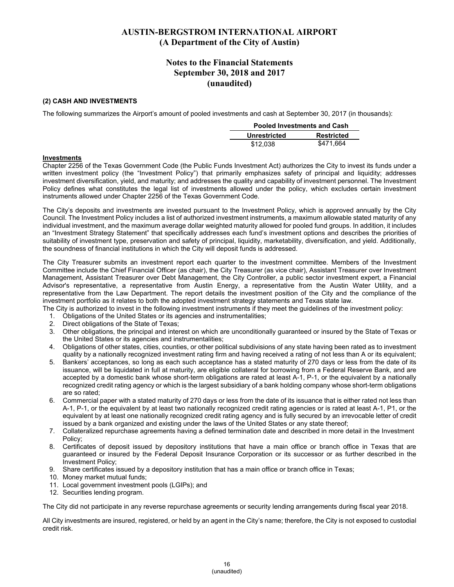### **Notes to the Financial Statements September 30, 2018 and 2017 (unaudited)**

#### **(2) CASH AND INVESTMENTS**

The following summarizes the Airport's amount of pooled investments and cash at September 30, 2017 (in thousands):

| <b>Pooled Investments and Cash</b> |                   |  |  |
|------------------------------------|-------------------|--|--|
| Unrestricted                       | <b>Restricted</b> |  |  |
| \$12.038                           | \$471.664         |  |  |

#### **Investments**

Chapter 2256 of the Texas Government Code (the Public Funds Investment Act) authorizes the City to invest its funds under a written investment policy (the "Investment Policy") that primarily emphasizes safety of principal and liquidity; addresses investment diversification, yield, and maturity; and addresses the quality and capability of investment personnel. The Investment Policy defines what constitutes the legal list of investments allowed under the policy, which excludes certain investment instruments allowed under Chapter 2256 of the Texas Government Code.

The City's deposits and investments are invested pursuant to the Investment Policy, which is approved annually by the City Council. The Investment Policy includes a list of authorized investment instruments, a maximum allowable stated maturity of any individual investment, and the maximum average dollar weighted maturity allowed for pooled fund groups. In addition, it includes an "Investment Strategy Statement" that specifically addresses each fund's investment options and describes the priorities of suitability of investment type, preservation and safety of principal, liquidity, marketability, diversification, and yield. Additionally, the soundness of financial institutions in which the City will deposit funds is addressed.

The City Treasurer submits an investment report each quarter to the investment committee. Members of the Investment Committee include the Chief Financial Officer (as chair), the City Treasurer (as vice chair), Assistant Treasurer over Investment Management, Assistant Treasurer over Debt Management, the City Controller, a public sector investment expert, a Financial Advisor's representative, a representative from Austin Energy, a representative from the Austin Water Utility, and a representative from the Law Department. The report details the investment position of the City and the compliance of the investment portfolio as it relates to both the adopted investment strategy statements and Texas state law.

The City is authorized to invest in the following investment instruments if they meet the guidelines of the investment policy:

- 1. Obligations of the United States or its agencies and instrumentalities;
- 2. Direct obligations of the State of Texas;
- 3. Other obligations, the principal and interest on which are unconditionally guaranteed or insured by the State of Texas or the United States or its agencies and instrumentalities;
- 4. Obligations of other states, cities, counties, or other political subdivisions of any state having been rated as to investment quality by a nationally recognized investment rating firm and having received a rating of not less than A or its equivalent;
- 5. Bankers' acceptances, so long as each such acceptance has a stated maturity of 270 days or less from the date of its issuance, will be liquidated in full at maturity, are eligible collateral for borrowing from a Federal Reserve Bank, and are accepted by a domestic bank whose short-term obligations are rated at least A-1, P-1, or the equivalent by a nationally recognized credit rating agency or which is the largest subsidiary of a bank holding company whose short-term obligations are so rated;
- 6. Commercial paper with a stated maturity of 270 days or less from the date of its issuance that is either rated not less than A-1, P-1, or the equivalent by at least two nationally recognized credit rating agencies or is rated at least A-1, P1, or the equivalent by at least one nationally recognized credit rating agency and is fully secured by an irrevocable letter of credit issued by a bank organized and existing under the laws of the United States or any state thereof;
- 7. Collateralized repurchase agreements having a defined termination date and described in more detail in the Investment Policy;
- 8. Certificates of deposit issued by depository institutions that have a main office or branch office in Texas that are guaranteed or insured by the Federal Deposit Insurance Corporation or its successor or as further described in the Investment Policy;
- 9. Share certificates issued by a depository institution that has a main office or branch office in Texas;
- 10. Money market mutual funds;
- 11. Local government investment pools (LGIPs); and
- 12. Securities lending program.

The City did not participate in any reverse repurchase agreements or security lending arrangements during fiscal year 2018.

All City investments are insured, registered, or held by an agent in the City's name; therefore, the City is not exposed to custodial credit risk.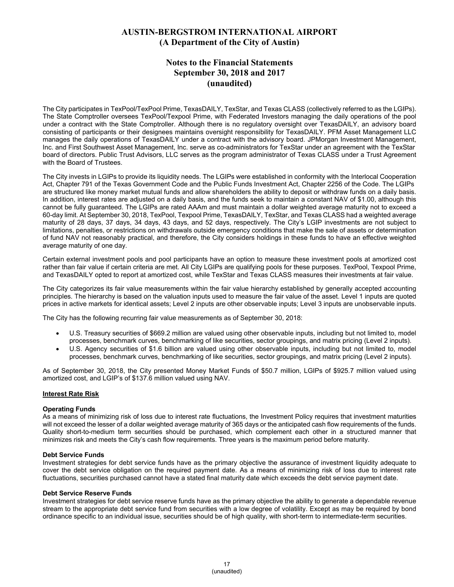### **Notes to the Financial Statements September 30, 2018 and 2017 (unaudited)**

The City participates in TexPool/TexPool Prime, TexasDAILY, TexStar, and Texas CLASS (collectively referred to as the LGIPs). The State Comptroller oversees TexPool/Texpool Prime, with Federated Investors managing the daily operations of the pool under a contract with the State Comptroller. Although there is no regulatory oversight over TexasDAILY, an advisory board consisting of participants or their designees maintains oversight responsibility for TexasDAILY. PFM Asset Management LLC manages the daily operations of TexasDAILY under a contract with the advisory board. JPMorgan Investment Management, Inc. and First Southwest Asset Management, Inc. serve as co-administrators for TexStar under an agreement with the TexStar board of directors. Public Trust Advisors, LLC serves as the program administrator of Texas CLASS under a Trust Agreement with the Board of Trustees.

The City invests in LGIPs to provide its liquidity needs. The LGIPs were established in conformity with the Interlocal Cooperation Act, Chapter 791 of the Texas Government Code and the Public Funds Investment Act, Chapter 2256 of the Code. The LGIPs are structured like money market mutual funds and allow shareholders the ability to deposit or withdraw funds on a daily basis. In addition, interest rates are adjusted on a daily basis, and the funds seek to maintain a constant NAV of \$1.00, although this cannot be fully guaranteed. The LGIPs are rated AAAm and must maintain a dollar weighted average maturity not to exceed a 60-day limit. At September 30, 2018, TexPool, Texpool Prime, TexasDAILY, TexStar, and Texas CLASS had a weighted average maturity of 28 days, 37 days, 34 days, 43 days, and 52 days, respectively. The City's LGIP investments are not subject to limitations, penalties, or restrictions on withdrawals outside emergency conditions that make the sale of assets or determination of fund NAV not reasonably practical, and therefore, the City considers holdings in these funds to have an effective weighted average maturity of one day.

Certain external investment pools and pool participants have an option to measure these investment pools at amortized cost rather than fair value if certain criteria are met. All City LGIPs are qualifying pools for these purposes. TexPool, Texpool Prime, and TexasDAILY opted to report at amortized cost, while TexStar and Texas CLASS measures their investments at fair value.

The City categorizes its fair value measurements within the fair value hierarchy established by generally accepted accounting principles. The hierarchy is based on the valuation inputs used to measure the fair value of the asset. Level 1 inputs are quoted prices in active markets for identical assets; Level 2 inputs are other observable inputs; Level 3 inputs are unobservable inputs.

The City has the following recurring fair value measurements as of September 30, 2018:

- U.S. Treasury securities of \$669.2 million are valued using other observable inputs, including but not limited to, model processes, benchmark curves, benchmarking of like securities, sector groupings, and matrix pricing (Level 2 inputs).
- U.S. Agency securities of \$1.6 billion are valued using other observable inputs, including but not limited to, model processes, benchmark curves, benchmarking of like securities, sector groupings, and matrix pricing (Level 2 inputs).

As of September 30, 2018, the City presented Money Market Funds of \$50.7 million, LGIPs of \$925.7 million valued using amortized cost, and LGIP's of \$137.6 million valued using NAV.

#### **Interest Rate Risk**

#### **Operating Funds**

As a means of minimizing risk of loss due to interest rate fluctuations, the Investment Policy requires that investment maturities will not exceed the lesser of a dollar weighted average maturity of 365 days or the anticipated cash flow requirements of the funds. Quality short-to-medium term securities should be purchased, which complement each other in a structured manner that minimizes risk and meets the City's cash flow requirements. Three years is the maximum period before maturity.

#### **Debt Service Funds**

Investment strategies for debt service funds have as the primary objective the assurance of investment liquidity adequate to cover the debt service obligation on the required payment date. As a means of minimizing risk of loss due to interest rate fluctuations, securities purchased cannot have a stated final maturity date which exceeds the debt service payment date.

#### **Debt Service Reserve Funds**

Investment strategies for debt service reserve funds have as the primary objective the ability to generate a dependable revenue stream to the appropriate debt service fund from securities with a low degree of volatility. Except as may be required by bond ordinance specific to an individual issue, securities should be of high quality, with short-term to intermediate-term securities.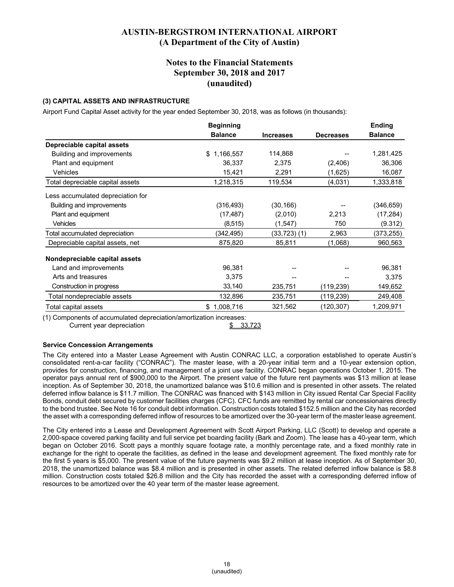#### **Notes to the Financial Statements September 30, 2018 and 2017 (unaudited)**

#### **(3) CAPITAL ASSETS AND INFRASTRUCTURE**

Airport Fund Capital Asset activity for the year ended September 30, 2018, was as follows (in thousands):

|                                   | <b>Beginning</b> |                   |                  | <b>Ending</b>  |
|-----------------------------------|------------------|-------------------|------------------|----------------|
|                                   | <b>Balance</b>   | <b>Increases</b>  | <b>Decreases</b> | <b>Balance</b> |
| Depreciable capital assets        |                  |                   |                  |                |
| Building and improvements         | 1,166,557<br>\$  | 114,868           |                  | 1,281,425      |
| Plant and equipment               | 36,337           | 2,375             | (2, 406)         | 36,306         |
| Vehicles                          | 15,421           | 2,291             | (1,625)          | 16,087         |
| Total depreciable capital assets  | 1,218,315        | 119,534           | (4,031)          | 1,333,818      |
| Less accumulated depreciation for |                  |                   |                  |                |
| Building and improvements         | (316, 493)       | (30, 166)         |                  | (346, 659)     |
| Plant and equipment               | (17, 487)        | (2,010)           | 2,213            | (17, 284)      |
| <b>Vehicles</b>                   | (8, 515)         | (1,547)           | 750              | (9.312)        |
| Total accumulated depreciation    | (342,495)        | $(33, 723)$ $(1)$ | 2,963            | (373, 255)     |
| Depreciable capital assets, net   | 875,820          | 85,811            | (1,068)          | 960,563        |
| Nondepreciable capital assets     |                  |                   |                  |                |
| Land and improvements             | 96,381           |                   |                  | 96,381         |
| Arts and treasures                | 3,375            |                   |                  | 3,375          |
| Construction in progress          | 33,140           | 235,751           | (119, 239)       | 149,652        |
| Total nondepreciable assets       | 132,896          | 235,751           | (119, 239)       | 249,408        |
| Total capital assets              | \$1,008,716      | 321,562           | (120, 307)       | 1,209,971      |

(1) Components of accumulated depreciation/amortization increases: Current year depreciation  $$33.723$ 

#### **Service Concession Arrangements**

The City entered into a Master Lease Agreement with Austin CONRAC LLC, a corporation established to operate Austin's consolidated rent-a-car facility ("CONRAC"). The master lease, with a 20-year initial term and a 10-year extension option, provides for construction, financing, and management of a joint use facility. CONRAC began operations October 1, 2015. The operator pays annual rent of \$900,000 to the Airport. The present value of the future rent payments was \$13 million at lease inception. As of September 30, 2018, the unamortized balance was \$10.6 million and is presented in other assets. The related deferred inflow balance is \$11.7 million. The CONRAC was financed with \$143 million in City issued Rental Car Special Facility Bonds, conduit debt secured by customer facilities charges (CFC). CFC funds are remitted by rental car concessionaires directly to the bond trustee. See Note 16 for conduit debt information. Construction costs totaled \$152.5 million and the City has recorded the asset with a corresponding deferred inflow of resources to be amortized over the 30-year term of the master lease agreement.

The City entered into a Lease and Development Agreement with Scott Airport Parking, LLC (Scott) to develop and operate a 2,000-space covered parking facility and full service pet boarding facility (Bark and Zoom). The lease has a 40-year term, which began on October 2016. Scott pays a monthly square footage rate, a monthly percentage rate, and a fixed monthly rate in exchange for the right to operate the facilities, as defined in the lease and development agreement. The fixed monthly rate for the first 5 years is \$5,000. The present value of the future payments was \$9.2 million at lease inception. As of September 30, 2018, the unamortized balance was \$8.4 million and is presented in other assets. The related deferred inflow balance is \$8.8 million. Construction costs totaled \$26.8 million and the City has recorded the asset with a corresponding deferred inflow of resources to be amortized over the 40 year term of the master lease agreement.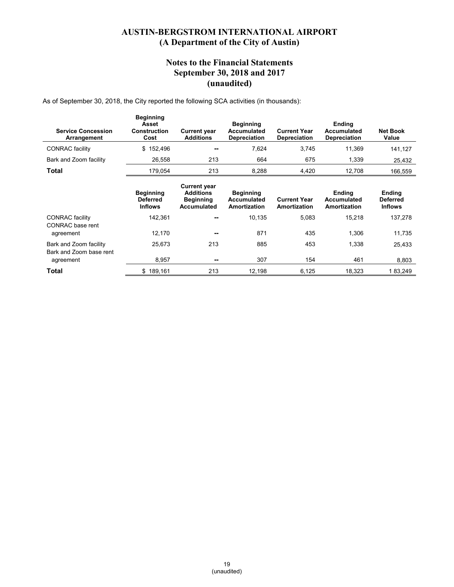### **Notes to the Financial Statements September 30, 2018 and 2017 (unaudited)**

As of September 30, 2018, the City reported the following SCA activities (in thousands):

| <b>Service Concession</b><br>Arrangement          | <b>Beginning</b><br>Asset<br><b>Construction</b><br>Cost | <b>Current year</b><br><b>Additions</b>                                    | <b>Beginning</b><br>Accumulated<br><b>Depreciation</b> | <b>Current Year</b><br><b>Depreciation</b> | Ending<br>Accumulated<br><b>Depreciation</b> | <b>Net Book</b><br>Value                           |
|---------------------------------------------------|----------------------------------------------------------|----------------------------------------------------------------------------|--------------------------------------------------------|--------------------------------------------|----------------------------------------------|----------------------------------------------------|
| <b>CONRAC</b> facility                            | 152,496<br>\$                                            |                                                                            | 7,624                                                  | 3,745                                      | 11.369                                       | 141,127                                            |
| Bark and Zoom facility                            | 26,558                                                   | 213                                                                        | 664                                                    | 675                                        | 1,339                                        | 25,432                                             |
| Total                                             | 179,054                                                  | 213                                                                        | 8,288                                                  | 4,420                                      | 12,708                                       | 166,559                                            |
|                                                   | <b>Beginning</b><br><b>Deferred</b><br><b>Inflows</b>    | <b>Current year</b><br><b>Additions</b><br><b>Beginning</b><br>Accumulated | <b>Beginning</b><br><b>Accumulated</b><br>Amortization | <b>Current Year</b><br>Amortization        | <b>Ending</b><br>Accumulated<br>Amortization | <b>Ending</b><br><b>Deferred</b><br><b>Inflows</b> |
| <b>CONRAC</b> facility<br>CONRAC base rent        | 142.361                                                  |                                                                            | 10,135                                                 | 5,083                                      | 15,218                                       | 137,278                                            |
| agreement                                         | 12,170                                                   | --                                                                         | 871                                                    | 435                                        | 1,306                                        | 11,735                                             |
| Bark and Zoom facility<br>Bark and Zoom base rent | 25,673                                                   | 213                                                                        | 885                                                    | 453                                        | 1,338                                        | 25,433                                             |
| agreement                                         | 8,957                                                    | --                                                                         | 307                                                    | 154                                        | 461                                          | 8,803                                              |
| Total                                             | \$189,161                                                | 213                                                                        | 12,198                                                 | 6,125                                      | 18,323                                       | 183,249                                            |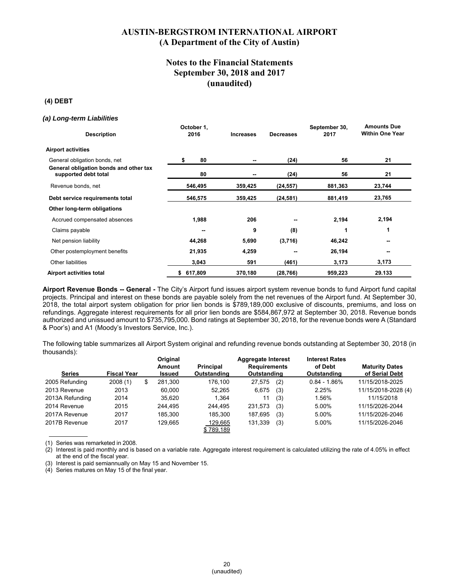### **Notes to the Financial Statements September 30, 2018 and 2017 (unaudited)**

#### **(4) DEBT**

#### *(a) Long-term Liabilities*

| <b>Description</b>                                             | October 1,<br>2016       | <b>Increases</b> | <b>Decreases</b> | September 30,<br>2017 | <b>Amounts Due</b><br><b>Within One Year</b> |
|----------------------------------------------------------------|--------------------------|------------------|------------------|-----------------------|----------------------------------------------|
| <b>Airport activities</b>                                      |                          |                  |                  |                       |                                              |
| General obligation bonds, net                                  | 80<br>\$                 |                  | (24)             | 56                    | 21                                           |
| General obligation bonds and other tax<br>supported debt total | 80                       |                  | (24)             | 56                    | 21                                           |
| Revenue bonds, net                                             | 546,495                  | 359,425          | (24, 557)        | 881,363               | 23,744                                       |
| Debt service requirements total                                | 546,575                  | 359,425          | (24, 581)        | 881,419               | 23,765                                       |
| Other long-term obligations                                    |                          |                  |                  |                       |                                              |
| Accrued compensated absences                                   | 1,988                    | 206              | --               | 2,194                 | 2,194                                        |
| Claims payable                                                 | $\overline{\phantom{a}}$ | 9                | (8)              | 1                     | 1                                            |
| Net pension liability                                          | 44,268                   | 5,690            | (3,716)          | 46,242                | $\qquad \qquad \cdots$                       |
| Other postemployment benefits                                  | 21,935                   | 4,259            | $- -$            | 26,194                | $- -$                                        |
| Other liabilities                                              | 3,043                    | 591              | (461)            | 3,173                 | 3,173                                        |
| Airport activities total                                       | \$617,809                | 370,180          | (28, 766)        | 959,223               | 29.133                                       |

**Airport Revenue Bonds -- General -** The City's Airport fund issues airport system revenue bonds to fund Airport fund capital projects. Principal and interest on these bonds are payable solely from the net revenues of the Airport fund. At September 30, 2018, the total airport system obligation for prior lien bonds is \$789,189,000 exclusive of discounts, premiums, and loss on refundings. Aggregate interest requirements for all prior lien bonds are \$584,867,972 at September 30, 2018. Revenue bonds authorized and unissued amount to \$735,795,000. Bond ratings at September 30, 2018, for the revenue bonds were A (Standard & Poor's) and A1 (Moody's Investors Service, Inc.).

The following table summarizes all Airport System original and refunding revenue bonds outstanding at September 30, 2018 (in thousands):

| <b>Series</b>   | <b>Fiscal Year</b> | Original<br><b>Amount</b><br>Issued | <b>Principal</b><br>Outstanding | <b>Aggregate Interest</b><br><b>Requirements</b><br>Outstanding |     | <b>Interest Rates</b><br>of Debt<br>Outstanding | <b>Maturity Dates</b><br>of Serial Debt |
|-----------------|--------------------|-------------------------------------|---------------------------------|-----------------------------------------------------------------|-----|-------------------------------------------------|-----------------------------------------|
|                 |                    |                                     |                                 |                                                                 |     |                                                 |                                         |
| 2005 Refunding  | 2008(1)            | \$<br>281.300                       | 176.100                         | 27.575                                                          | (2) | $0.84 - 1.86\%$                                 | 11/15/2018-2025                         |
| 2013 Revenue    | 2013               | 60.000                              | 52.265                          | 6,675                                                           | (3) | 2.25%                                           | 11/15/2018-2028 (4)                     |
| 2013A Refunding | 2014               | 35.620                              | 1.364                           |                                                                 | (3) | 1.56%                                           | 11/15/2018                              |
| 2014 Revenue    | 2015               | 244.495                             | 244.495                         | 231.573                                                         | (3) | 5.00%                                           | 11/15/2026-2044                         |
| 2017A Revenue   | 2017               | 185.300                             | 185.300                         | 187,695                                                         | (3) | 5.00%                                           | 11/15/2026-2046                         |
| 2017B Revenue   | 2017               | 129.665                             | 129.665                         | 131,339                                                         | (3) | 5.00%                                           | 11/15/2026-2046                         |
|                 |                    |                                     | \$789.189                       |                                                                 |     |                                                 |                                         |

(1) Series was remarketed in 2008.

(2) Interest is paid monthly and is based on a variable rate. Aggregate interest requirement is calculated utilizing the rate of 4.05% in effect at the end of the fiscal year.

(3) Interest is paid semiannually on May 15 and November 15.

(4) Series matures on May 15 of the final year.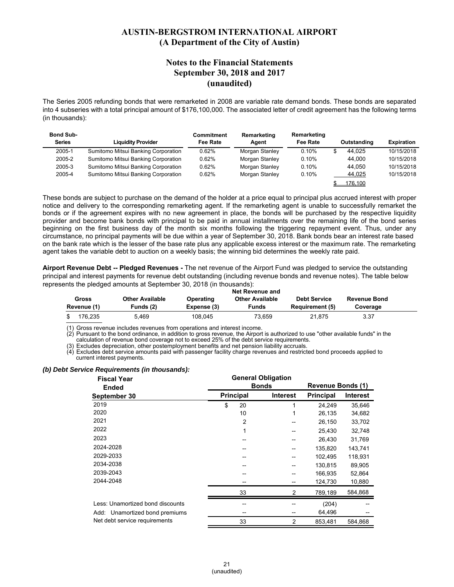#### **Notes to the Financial Statements September 30, 2018 and 2017 (unaudited)**

The Series 2005 refunding bonds that were remarketed in 2008 are variable rate demand bonds. These bonds are separated into 4 subseries with a total principal amount of \$176,100,000. The associated letter of credit agreement has the following terms (in thousands):

| <b>Bond Sub-</b><br><b>Series</b> | <b>Liquidity Provider</b>           | Commitment<br>Fee Rate | Remarketing<br>Agent | Remarketing<br>Fee Rate | Outstanding | <b>Expiration</b> |
|-----------------------------------|-------------------------------------|------------------------|----------------------|-------------------------|-------------|-------------------|
| 2005-1                            | Sumitomo Mitsui Banking Corporation | 0.62%                  | Morgan Stanley       | 0.10%                   | 44.025      | 10/15/2018        |
| 2005-2                            | Sumitomo Mitsui Banking Corporation | 0.62%                  | Morgan Stanley       | 0.10%                   | 44.000      | 10/15/2018        |
| 2005-3                            | Sumitomo Mitsui Banking Corporation | 0.62%                  | Morgan Stanley       | 0.10%                   | 44.050      | 10/15/2018        |
| 2005-4                            | Sumitomo Mitsui Banking Corporation | 0.62%                  | Morgan Stanley       | 0.10%                   | 44,025      | 10/15/2018        |
|                                   |                                     |                        |                      |                         | 176.100     |                   |

These bonds are subject to purchase on the demand of the holder at a price equal to principal plus accrued interest with proper notice and delivery to the corresponding remarketing agent. If the remarketing agent is unable to successfully remarket the bonds or if the agreement expires with no new agreement in place, the bonds will be purchased by the respective liquidity provider and become bank bonds with principal to be paid in annual installments over the remaining life of the bond series beginning on the first business day of the month six months following the triggering repayment event. Thus, under any circumstance, no principal payments will be due within a year of September 30, 2018. Bank bonds bear an interest rate based on the bank rate which is the lesser of the base rate plus any applicable excess interest or the maximum rate. The remarketing agent takes the variable debt to auction on a weekly basis; the winning bid determines the weekly rate paid.

**Airport Revenue Debt -- Pledged Revenues -** The net revenue of the Airport Fund was pledged to service the outstanding principal and interest payments for revenue debt outstanding (including revenue bonds and revenue notes). The table below represents the pledged amounts at September 30, 2018 (in thousands):

|                      |                              |                          | <b>Net Revenue and</b>          |                                               |                                 |  |
|----------------------|------------------------------|--------------------------|---------------------------------|-----------------------------------------------|---------------------------------|--|
| Gross<br>Revenue (1) | Other Available<br>Funds (2) | Operating<br>Expense (3) | <b>Other Available</b><br>Funds | <b>Debt Service</b><br><b>Requirement (5)</b> | <b>Revenue Bond</b><br>Coverage |  |
| 176.235              | 5.469                        | 108.045                  | 73.659                          | 21.875                                        | 3.37                            |  |

Gross revenue includes revenues from operations and interest income.

(2) Pursuant to the bond ordinance, in addition to gross revenue, the Airport is authorized to use "other available funds" in the calculation of revenue bond coverage not to exceed 25% of the debt service requirements.

(3) Excludes depreciation, other postemployment benefits and net pension liability accruals.

Excludes debt service amounts paid with passenger facility charge revenues and restricted bond proceeds applied to current interest payments.

#### *(b) Debt Service Requirements (in thousands):*

| <b>Fiscal Year</b>               | <b>General Obligation</b> |                |                 |                          |                 |
|----------------------------------|---------------------------|----------------|-----------------|--------------------------|-----------------|
| <b>Ended</b>                     | <b>Bonds</b>              |                |                 | <b>Revenue Bonds (1)</b> |                 |
| September 30                     | <b>Principal</b>          |                | <b>Interest</b> | <b>Principal</b>         | <b>Interest</b> |
| 2019                             | \$                        | 20             | 1               | 24.249                   | 35,646          |
| 2020                             |                           | 10             |                 | 26,135                   | 34,682          |
| 2021                             |                           | $\overline{2}$ |                 | 26,150                   | 33,702          |
| 2022                             |                           | 1              |                 | 25,430                   | 32,748          |
| 2023                             |                           |                |                 | 26,430                   | 31,769          |
| 2024-2028                        |                           |                |                 | 135,820                  | 143,741         |
| 2029-2033                        |                           |                |                 | 102,495                  | 118,931         |
| 2034-2038                        |                           |                |                 | 130,815                  | 89,905          |
| 2039-2043                        |                           |                |                 | 166,935                  | 52,864          |
| 2044-2048                        |                           |                |                 | 124,730                  | 10,880          |
|                                  |                           | 33             | 2               | 789,189                  | 584,868         |
| Less: Unamortized bond discounts |                           |                |                 | (204)                    |                 |
| Add: Unamortized bond premiums   |                           |                |                 | 64,496                   |                 |
| Net debt service requirements    |                           | 33             | 2               | 853,481                  | 584.868         |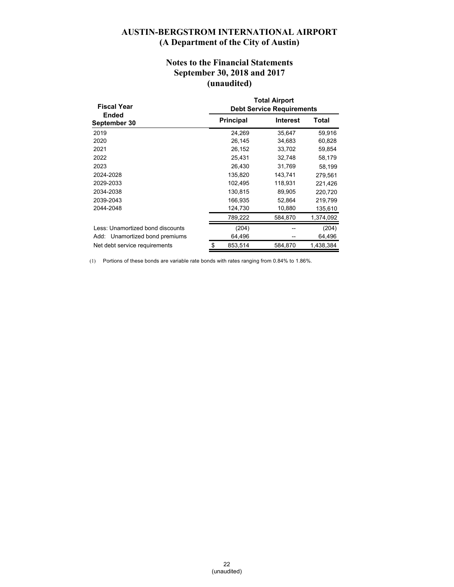### **Notes to the Financial Statements September 30, 2018 and 2017 (unaudited)**

| <b>Fiscal Year</b>               | <b>Total Airport</b><br><b>Debt Service Requirements</b> |                 |           |  |  |
|----------------------------------|----------------------------------------------------------|-----------------|-----------|--|--|
| Ended<br>September 30            | <b>Principal</b>                                         | <b>Interest</b> | Total     |  |  |
| 2019                             | 24,269                                                   | 35,647          | 59,916    |  |  |
| 2020                             | 26,145                                                   | 34,683          | 60,828    |  |  |
| 2021                             | 26,152                                                   | 33,702          | 59,854    |  |  |
| 2022                             | 25,431                                                   | 32,748          | 58,179    |  |  |
| 2023                             | 26,430                                                   | 31,769          | 58,199    |  |  |
| 2024-2028                        | 135,820                                                  | 143,741         | 279,561   |  |  |
| 2029-2033                        | 102,495                                                  | 118,931         | 221,426   |  |  |
| 2034-2038                        | 130.815                                                  | 89,905          | 220,720   |  |  |
| 2039-2043                        | 166,935                                                  | 52,864          | 219,799   |  |  |
| 2044-2048                        | 124,730                                                  | 10,880          | 135,610   |  |  |
|                                  | 789,222                                                  | 584.870         | 1,374,092 |  |  |
| Less: Unamortized bond discounts | (204)                                                    |                 | (204)     |  |  |
| Add: Unamortized bond premiums   | 64,496                                                   |                 | 64,496    |  |  |
| Net debt service requirements    | \$<br>853,514                                            | 584,870         | 1,438,384 |  |  |

(1) Portions of these bonds are variable rate bonds with rates ranging from 0.84% to 1.86%.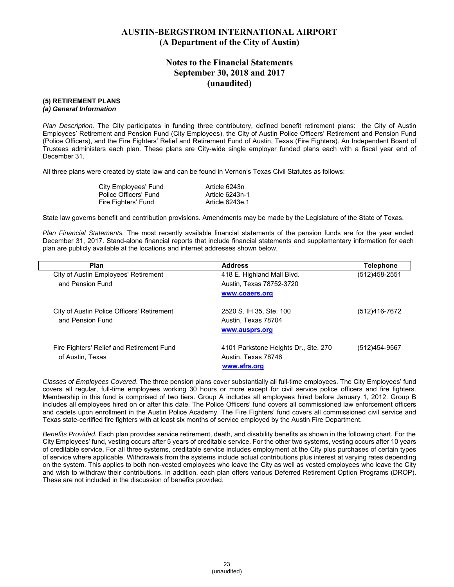### **Notes to the Financial Statements September 30, 2018 and 2017 (unaudited)**

#### **(5) RETIREMENT PLANS**

#### *(a) General Information*

*Plan Description.* The City participates in funding three contributory, defined benefit retirement plans: the City of Austin Employees' Retirement and Pension Fund (City Employees), the City of Austin Police Officers' Retirement and Pension Fund (Police Officers), and the Fire Fighters' Relief and Retirement Fund of Austin, Texas (Fire Fighters). An Independent Board of Trustees administers each plan. These plans are City-wide single employer funded plans each with a fiscal year end of December 31.

All three plans were created by state law and can be found in Vernon's Texas Civil Statutes as follows:

| City Employees' Fund  | Article 6243n   |
|-----------------------|-----------------|
| Police Officers' Fund | Article 6243n-1 |
| Fire Fighters' Fund   | Article 6243e.1 |

State law governs benefit and contribution provisions. Amendments may be made by the Legislature of the State of Texas.

*Plan Financial Statements.* The most recently available financial statements of the pension funds are for the year ended December 31, 2017. Stand-alone financial reports that include financial statements and supplementary information for each plan are publicly available at the locations and internet addresses shown below.

| <b>Plan</b>                                                    | <b>Address</b>                                                              | <b>Telephone</b> |
|----------------------------------------------------------------|-----------------------------------------------------------------------------|------------------|
| City of Austin Employees' Retirement                           | 418 E. Highland Mall Blvd.                                                  | (512)458-2551    |
| and Pension Fund                                               | Austin, Texas 78752-3720                                                    |                  |
|                                                                | www.coaers.org                                                              |                  |
| City of Austin Police Officers' Retirement<br>and Pension Fund | 2520 S. IH 35, Ste. 100<br>Austin, Texas 78704<br>www.ausprs.org            | (512)416-7672    |
| Fire Fighters' Relief and Retirement Fund<br>of Austin, Texas  | 4101 Parkstone Heights Dr., Ste. 270<br>Austin, Texas 78746<br>www.afrs.org | (512)454-9567    |

*Classes of Employees Covered*. The three pension plans cover substantially all full-time employees. The City Employees' fund covers all regular, full-time employees working 30 hours or more except for civil service police officers and fire fighters. Membership in this fund is comprised of two tiers. Group A includes all employees hired before January 1, 2012. Group B includes all employees hired on or after this date. The Police Officers' fund covers all commissioned law enforcement officers and cadets upon enrollment in the Austin Police Academy. The Fire Fighters' fund covers all commissioned civil service and Texas state-certified fire fighters with at least six months of service employed by the Austin Fire Department.

*Benefits Provided.* Each plan provides service retirement, death, and disability benefits as shown in the following chart. For the City Employees' fund, vesting occurs after 5 years of creditable service. For the other two systems, vesting occurs after 10 years of creditable service. For all three systems, creditable service includes employment at the City plus purchases of certain types of service where applicable. Withdrawals from the systems include actual contributions plus interest at varying rates depending on the system. This applies to both non-vested employees who leave the City as well as vested employees who leave the City and wish to withdraw their contributions. In addition, each plan offers various Deferred Retirement Option Programs (DROP). These are not included in the discussion of benefits provided.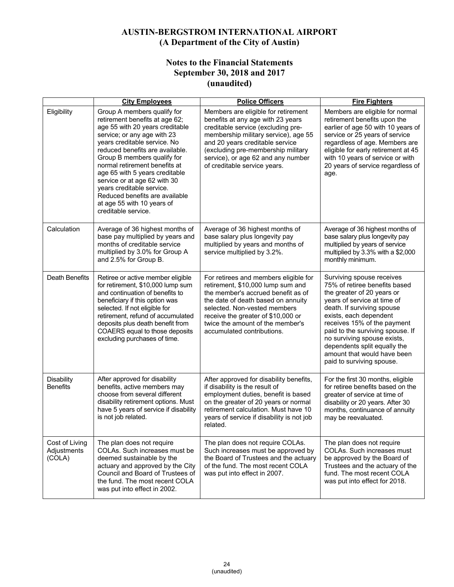# **Notes to the Financial Statements September 30, 2018 and 2017 (unaudited)**

|                                         | <b>City Employees</b>                                                                                                                                                                                                                                                                                                                                                                                                                                    | <b>Police Officers</b>                                                                                                                                                                                                                                                                                | <b>Fire Fighters</b>                                                                                                                                                                                                                                                                                                                                                          |
|-----------------------------------------|----------------------------------------------------------------------------------------------------------------------------------------------------------------------------------------------------------------------------------------------------------------------------------------------------------------------------------------------------------------------------------------------------------------------------------------------------------|-------------------------------------------------------------------------------------------------------------------------------------------------------------------------------------------------------------------------------------------------------------------------------------------------------|-------------------------------------------------------------------------------------------------------------------------------------------------------------------------------------------------------------------------------------------------------------------------------------------------------------------------------------------------------------------------------|
| Eligibility                             | Group A members qualify for<br>retirement benefits at age 62;<br>age 55 with 20 years creditable<br>service; or any age with 23<br>years creditable service. No<br>reduced benefits are available.<br>Group B members qualify for<br>normal retirement benefits at<br>age 65 with 5 years creditable<br>service or at age 62 with 30<br>years creditable service.<br>Reduced benefits are available<br>at age 55 with 10 years of<br>creditable service. | Members are eligible for retirement<br>benefits at any age with 23 years<br>creditable service (excluding pre-<br>membership military service), age 55<br>and 20 years creditable service<br>(excluding pre-membership military<br>service), or age 62 and any number<br>of creditable service years. | Members are eligible for normal<br>retirement benefits upon the<br>earlier of age 50 with 10 years of<br>service or 25 years of service<br>regardless of age. Members are<br>eligible for early retirement at 45<br>with 10 years of service or with<br>20 years of service regardless of<br>age.                                                                             |
| Calculation                             | Average of 36 highest months of<br>base pay multiplied by years and<br>months of creditable service<br>multiplied by 3.0% for Group A<br>and 2.5% for Group B.                                                                                                                                                                                                                                                                                           | Average of 36 highest months of<br>base salary plus longevity pay<br>multiplied by years and months of<br>service multiplied by 3.2%.                                                                                                                                                                 | Average of 36 highest months of<br>base salary plus longevity pay<br>multiplied by years of service<br>multiplied by 3.3% with a \$2,000<br>monthly minimum.                                                                                                                                                                                                                  |
| Death Benefits                          | Retiree or active member eligible<br>for retirement, \$10,000 lump sum<br>and continuation of benefits to<br>beneficiary if this option was<br>selected. If not eligible for<br>retirement, refund of accumulated<br>deposits plus death benefit from<br>COAERS equal to those deposits<br>excluding purchases of time.                                                                                                                                  | For retirees and members eligible for<br>retirement, \$10,000 lump sum and<br>the member's accrued benefit as of<br>the date of death based on annuity<br>selected. Non-vested members<br>receive the greater of \$10,000 or<br>twice the amount of the member's<br>accumulated contributions.        | Surviving spouse receives<br>75% of retiree benefits based<br>the greater of 20 years or<br>years of service at time of<br>death. If surviving spouse<br>exists, each dependent<br>receives 15% of the payment<br>paid to the surviving spouse. If<br>no surviving spouse exists,<br>dependents split equally the<br>amount that would have been<br>paid to surviving spouse. |
| <b>Disability</b><br><b>Benefits</b>    | After approved for disability<br>benefits, active members may<br>choose from several different<br>disability retirement options. Must<br>have 5 years of service if disability<br>is not job related.                                                                                                                                                                                                                                                    | After approved for disability benefits,<br>if disability is the result of<br>employment duties, benefit is based<br>on the greater of 20 years or normal<br>retirement calculation. Must have 10<br>years of service if disability is not job<br>related.                                             | For the first 30 months, eligible<br>for retiree benefits based on the<br>greater of service at time of<br>disability or 20 years. After 30<br>months, continuance of annuity<br>may be reevaluated.                                                                                                                                                                          |
| Cost of Living<br>Adjustments<br>(COLA) | The plan does not require<br>COLAs. Such increases must be<br>deemed sustainable by the<br>actuary and approved by the City<br>Council and Board of Trustees of<br>the fund. The most recent COLA<br>was put into effect in 2002.                                                                                                                                                                                                                        | The plan does not require COLAs.<br>Such increases must be approved by<br>the Board of Trustees and the actuary<br>of the fund. The most recent COLA<br>was put into effect in 2007.                                                                                                                  | The plan does not require<br>COLAs. Such increases must<br>be approved by the Board of<br>Trustees and the actuary of the<br>fund. The most recent COLA<br>was put into effect for 2018.                                                                                                                                                                                      |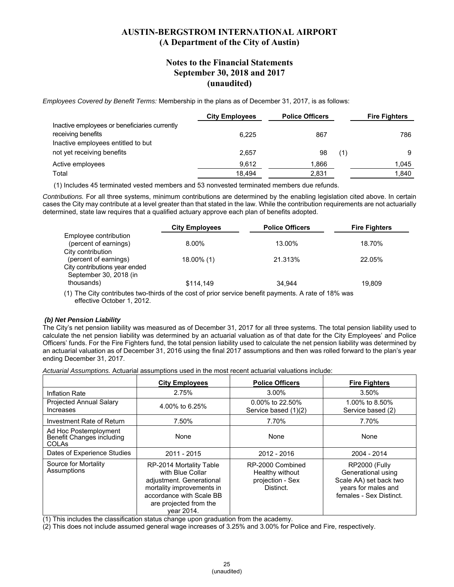#### **Notes to the Financial Statements September 30, 2018 and 2017 (unaudited)**

*Employees Covered by Benefit Terms:* Membership in the plans as of December 31, 2017, is as follows:

|                                               | <b>City Employees</b> | <b>Police Officers</b> |     | <b>Fire Fighters</b> |
|-----------------------------------------------|-----------------------|------------------------|-----|----------------------|
| Inactive employees or beneficiaries currently |                       |                        |     |                      |
| receiving benefits                            | 6.225                 | 867                    |     | 786                  |
| Inactive employees entitled to but            |                       |                        |     |                      |
| not yet receiving benefits                    | 2,657                 | 98                     | (1) | 9                    |
| Active employees                              | 9.612                 | 1,866                  |     | 1.045                |
| Total                                         | 18.494                | 2,831                  |     | 1.840                |

(1) Includes 45 terminated vested members and 53 nonvested terminated members due refunds.

*Contributions.* For all three systems, minimum contributions are determined by the enabling legislation cited above. In certain cases the City may contribute at a level greater than that stated in the law. While the contribution requirements are not actuarially determined, state law requires that a qualified actuary approve each plan of benefits adopted.

|                               | <b>City Employees</b> | <b>Police Officers</b> | <b>Fire Fighters</b> |
|-------------------------------|-----------------------|------------------------|----------------------|
| Employee contribution         |                       |                        |                      |
| (percent of earnings)         | 8.00%                 | 13.00%                 | 18.70%               |
| City contribution             |                       |                        |                      |
| (percent of earnings)         | 18.00% (1)            | 21.313%                | 22.05%               |
| City contributions year ended |                       |                        |                      |
| September 30, 2018 (in        |                       |                        |                      |
| thousands)                    | \$114,149             | 34.944                 | 19.809               |
|                               |                       |                        |                      |

(1) The City contributes two-thirds of the cost of prior service benefit payments. A rate of 18% was effective October 1, 2012.

#### *(b) Net Pension Liability*

The City's net pension liability was measured as of December 31, 2017 for all three systems. The total pension liability used to calculate the net pension liability was determined by an actuarial valuation as of that date for the City Employees' and Police Officers' funds. For the Fire Fighters fund, the total pension liability used to calculate the net pension liability was determined by an actuarial valuation as of December 31, 2016 using the final 2017 assumptions and then was rolled forward to the plan's year ending December 31, 2017.

*Actuarial Assumptions.* Actuarial assumptions used in the most recent actuarial valuations include:

|                                                                    | <b>City Employees</b>                                                                                                                                                    | <b>Police Officers</b>                                               | <b>Fire Fighters</b>                                                                                            |
|--------------------------------------------------------------------|--------------------------------------------------------------------------------------------------------------------------------------------------------------------------|----------------------------------------------------------------------|-----------------------------------------------------------------------------------------------------------------|
| Inflation Rate                                                     | 2.75%                                                                                                                                                                    | 3.00%                                                                | 3.50%                                                                                                           |
| <b>Projected Annual Salary</b><br>Increases                        | 4.00% to 6.25%                                                                                                                                                           | $0.00\%$ to 22.50%<br>Service based (1)(2)                           | 1.00% to 8.50%<br>Service based (2)                                                                             |
| Investment Rate of Return                                          | 7.50%                                                                                                                                                                    | 7.70%                                                                | 7.70%                                                                                                           |
| Ad Hoc Postemployment<br>Benefit Changes including<br><b>COLAs</b> | None                                                                                                                                                                     | None                                                                 | None                                                                                                            |
| Dates of Experience Studies                                        | 2011 - 2015                                                                                                                                                              | 2012 - 2016                                                          | 2004 - 2014                                                                                                     |
| Source for Mortality<br>Assumptions                                | RP-2014 Mortality Table<br>with Blue Collar<br>adjustment. Generational<br>mortality improvements in<br>accordance with Scale BB<br>are projected from the<br>year 2014. | RP-2000 Combined<br>Healthy without<br>projection - Sex<br>Distinct. | RP2000 (Fully<br>Generational using<br>Scale AA) set back two<br>years for males and<br>females - Sex Distinct. |

(1) This includes the classification status change upon graduation from the academy.

(2) This does not include assumed general wage increases of 3.25% and 3.00% for Police and Fire, respectively.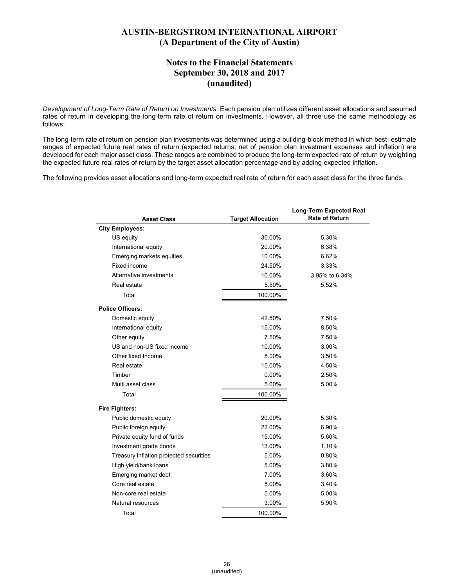### **Notes to the Financial Statements September 30, 2018 and 2017 (unaudited)**

*Development of Long-Term Rate of Return on Investments*. Each pension plan utilizes different asset allocations and assumed rates of return in developing the long-term rate of return on investments. However, all three use the same methodology as follows:

The long-term rate of return on pension plan investments was determined using a building-block method in which best- estimate ranges of expected future real rates of return (expected returns, net of pension plan investment expenses and inflation) are developed for each major asset class. These ranges are combined to produce the long-term expected rate of return by weighting the expected future real rates of return by the target asset allocation percentage and by adding expected inflation.

The following provides asset allocations and long-term expected real rate of return for each asset class for the three funds.

| <b>Asset Class</b>                      | <b>Target Allocation</b> | <b>Long-Term Expected Real</b><br><b>Rate of Return</b> |
|-----------------------------------------|--------------------------|---------------------------------------------------------|
| <b>City Employees:</b>                  |                          |                                                         |
| US equity                               | 30.00%                   | 5.30%                                                   |
| International equity                    | 20.00%                   | 6.38%                                                   |
| Emerging markets equities               | 10.00%                   | 6.62%                                                   |
| Fixed income                            | 24.50%                   | 3.33%                                                   |
| Alternative investments                 | 10.00%                   | 3.95% to 6.34%                                          |
| Real estate                             | 5.50%                    | 5.52%                                                   |
| Total                                   | 100.00%                  |                                                         |
| <b>Police Officers:</b>                 |                          |                                                         |
| Domestic equity                         | 42.50%                   | 7.50%                                                   |
| International equity                    | 15.00%                   | 8.50%                                                   |
| Other equity                            | 7.50%                    | 7.50%                                                   |
| US and non-US fixed income              | 10.00%                   | 3.00%                                                   |
| Other fixed Income                      | 5.00%                    | 3.50%                                                   |
| Real estate                             | 15.00%                   | 4.50%                                                   |
| Timber                                  | $0.00\%$                 | 2.50%                                                   |
| Multi asset class                       | 5.00%                    | 5.00%                                                   |
| Total                                   | 100.00%                  |                                                         |
| <b>Fire Fighters:</b>                   |                          |                                                         |
| Public domestic equity                  | 20.00%                   | 5.30%                                                   |
| Public foreign equity                   | 22.00%                   | 6.90%                                                   |
| Private equity fund of funds            | 15.00%                   | 5.60%                                                   |
| Investment grade bonds                  | 13.00%                   | 1.10%                                                   |
| Treasury inflation protected securities | 5.00%                    | 0.80%                                                   |
| High yield/bank loans                   | 5.00%                    | 3.80%                                                   |
| Emerging market debt                    | 7.00%                    | 3.60%                                                   |
| Core real estate                        | 5.00%                    | 3.40%                                                   |
| Non-core real estate                    | 5.00%                    | 5.00%                                                   |
| Natural resources                       | 3.00%                    | 5.90%                                                   |
| Total                                   | 100.00%                  |                                                         |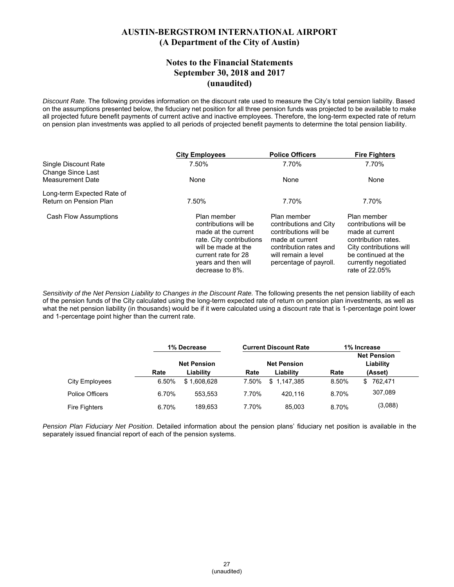#### **Notes to the Financial Statements September 30, 2018 and 2017 (unaudited)**

*Discount Rate.* The following provides information on the discount rate used to measure the City's total pension liability. Based on the assumptions presented below, the fiduciary net position for all three pension funds was projected to be available to make all projected future benefit payments of current active and inactive employees. Therefore, the long-term expected rate of return on pension plan investments was applied to all periods of projected benefit payments to determine the total pension liability.

|                                              | <b>City Employees</b>                                                                                                                                                           | <b>Police Officers</b>                                                                                                                                       | <b>Fire Fighters</b>                                                                                                                                                       |
|----------------------------------------------|---------------------------------------------------------------------------------------------------------------------------------------------------------------------------------|--------------------------------------------------------------------------------------------------------------------------------------------------------------|----------------------------------------------------------------------------------------------------------------------------------------------------------------------------|
| Single Discount Rate                         | 7.50%                                                                                                                                                                           | 7.70%                                                                                                                                                        | 7.70%                                                                                                                                                                      |
| Change Since Last<br><b>Measurement Date</b> | None                                                                                                                                                                            | None                                                                                                                                                         | None                                                                                                                                                                       |
| Long-term Expected Rate of                   |                                                                                                                                                                                 |                                                                                                                                                              |                                                                                                                                                                            |
| Return on Pension Plan                       | 7.50%                                                                                                                                                                           | 7.70%                                                                                                                                                        | 7.70%                                                                                                                                                                      |
| <b>Cash Flow Assumptions</b>                 | Plan member<br>contributions will be<br>made at the current<br>rate. City contributions<br>will be made at the<br>current rate for 28<br>years and then will<br>decrease to 8%. | Plan member<br>contributions and City<br>contributions will be<br>made at current<br>contribution rates and<br>will remain a level<br>percentage of payroll. | Plan member<br>contributions will be<br>made at current<br>contribution rates.<br>City contributions will<br>be continued at the<br>currently negotiated<br>rate of 22.05% |

*Sensitivity of the Net Pension Liability to Changes in the Discount Rate.* The following presents the net pension liability of each of the pension funds of the City calculated using the long-term expected rate of return on pension plan investments, as well as what the net pension liability (in thousands) would be if it were calculated using a discount rate that is 1-percentage point lower and 1-percentage point higher than the current rate.

|                       | 1% Decrease |                    |       | <b>Current Discount Rate</b> |       | 1% Increase                     |  |
|-----------------------|-------------|--------------------|-------|------------------------------|-------|---------------------------------|--|
|                       |             | <b>Net Pension</b> |       | <b>Net Pension</b>           |       | <b>Net Pension</b><br>Liability |  |
|                       | Rate        | Liability          | Rate  | Liability                    | Rate  | (Asset)                         |  |
| <b>City Employees</b> | 6.50%       | \$1,608,628        | 7.50% | \$1.147.385                  | 8.50% | 762,471<br>\$                   |  |
| Police Officers       | 6.70%       | 553.553            | 7.70% | 420.116                      | 8.70% | 307,089                         |  |
| <b>Fire Fighters</b>  | 6.70%       | 189.653            | 7.70% | 85.003                       | 8.70% | (3,088)                         |  |

*Pension Plan Fiduciary Net Position*. Detailed information about the pension plans' fiduciary net position is available in the separately issued financial report of each of the pension systems.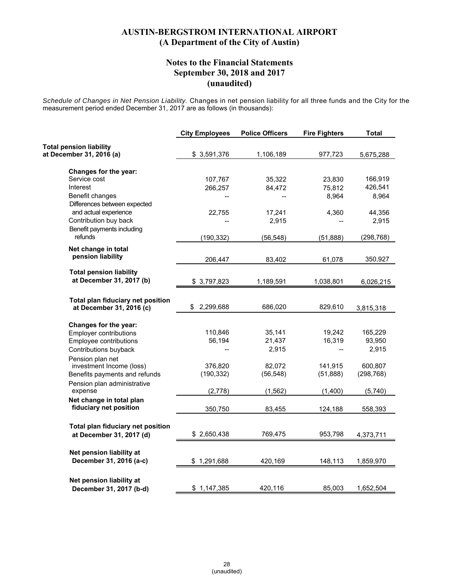### **Notes to the Financial Statements September 30, 2018 and 2017 (unaudited)**

*Schedule of Changes in Net Pension Liability.* Changes in net pension liability for all three funds and the City for the measurement period ended December 31, 2017 are as follows (in thousands):

| <b>Total pension liability</b><br>\$3,591,376<br>1,106,189<br>977,723<br>Changes for the year:<br>Service cost<br>107,767<br>35,322<br>23,830<br>Interest<br>266,257<br>84,472<br>75,812<br>Benefit changes<br>8,964<br>Differences between expected<br>and actual experience<br>4,360<br>22,755<br>17,241<br>Contribution buy back<br>2,915<br>Benefit payments including<br>refunds<br>(190, 332)<br>(56, 548)<br>(51, 888)<br>Net change in total<br>pension liability<br>206,447<br>83,402<br>61,078<br><b>Total pension liability</b><br>at December 31, 2017 (b)<br>\$3,797,823<br>1,189,591<br>1,038,801<br>Total plan fiduciary net position<br>\$<br>2,299,688<br>686,020<br>829,610<br>at December 31, 2016 (c)<br>3,815,318<br>Changes for the year:<br>110,846<br>35,141<br>19,242<br><b>Employer contributions</b><br>56,194<br>21,437<br>16,319<br>Employee contributions<br>2,915<br>2,915<br>Contributions buyback<br>Pension plan net<br>investment Income (loss)<br>376,820<br>82,072<br>141,915<br>600,807<br>(190, 332)<br>(56, 548)<br>(51, 888)<br>Benefits payments and refunds<br>Pension plan administrative<br>expense<br>(2,778)<br>(1, 562)<br>(1,400)<br>Net change in total plan<br>fiduciary net position<br>350,750<br>83,455<br>124,188<br>Total plan fiduciary net position<br>769,475<br>at December 31, 2017 (d)<br>\$2,650,438<br>953,798<br>4,373,711<br>Net pension liability at<br>December 31, 2016 (a-c)<br>\$1,291,688<br>420,169<br>148,113 | <b>City Employees</b> | <b>Police Officers</b> | <b>Fire Fighters</b> | <b>Total</b> |
|-----------------------------------------------------------------------------------------------------------------------------------------------------------------------------------------------------------------------------------------------------------------------------------------------------------------------------------------------------------------------------------------------------------------------------------------------------------------------------------------------------------------------------------------------------------------------------------------------------------------------------------------------------------------------------------------------------------------------------------------------------------------------------------------------------------------------------------------------------------------------------------------------------------------------------------------------------------------------------------------------------------------------------------------------------------------------------------------------------------------------------------------------------------------------------------------------------------------------------------------------------------------------------------------------------------------------------------------------------------------------------------------------------------------------------------------------------------------------------------------|-----------------------|------------------------|----------------------|--------------|
| at December 31, 2016 (a)                                                                                                                                                                                                                                                                                                                                                                                                                                                                                                                                                                                                                                                                                                                                                                                                                                                                                                                                                                                                                                                                                                                                                                                                                                                                                                                                                                                                                                                                |                       |                        |                      |              |
|                                                                                                                                                                                                                                                                                                                                                                                                                                                                                                                                                                                                                                                                                                                                                                                                                                                                                                                                                                                                                                                                                                                                                                                                                                                                                                                                                                                                                                                                                         |                       |                        |                      | 5,675,288    |
|                                                                                                                                                                                                                                                                                                                                                                                                                                                                                                                                                                                                                                                                                                                                                                                                                                                                                                                                                                                                                                                                                                                                                                                                                                                                                                                                                                                                                                                                                         |                       |                        |                      |              |
|                                                                                                                                                                                                                                                                                                                                                                                                                                                                                                                                                                                                                                                                                                                                                                                                                                                                                                                                                                                                                                                                                                                                                                                                                                                                                                                                                                                                                                                                                         |                       |                        |                      | 166,919      |
|                                                                                                                                                                                                                                                                                                                                                                                                                                                                                                                                                                                                                                                                                                                                                                                                                                                                                                                                                                                                                                                                                                                                                                                                                                                                                                                                                                                                                                                                                         |                       |                        |                      | 426,541      |
|                                                                                                                                                                                                                                                                                                                                                                                                                                                                                                                                                                                                                                                                                                                                                                                                                                                                                                                                                                                                                                                                                                                                                                                                                                                                                                                                                                                                                                                                                         |                       |                        |                      | 8,964        |
|                                                                                                                                                                                                                                                                                                                                                                                                                                                                                                                                                                                                                                                                                                                                                                                                                                                                                                                                                                                                                                                                                                                                                                                                                                                                                                                                                                                                                                                                                         |                       |                        |                      |              |
|                                                                                                                                                                                                                                                                                                                                                                                                                                                                                                                                                                                                                                                                                                                                                                                                                                                                                                                                                                                                                                                                                                                                                                                                                                                                                                                                                                                                                                                                                         |                       |                        |                      | 44,356       |
|                                                                                                                                                                                                                                                                                                                                                                                                                                                                                                                                                                                                                                                                                                                                                                                                                                                                                                                                                                                                                                                                                                                                                                                                                                                                                                                                                                                                                                                                                         |                       |                        |                      | 2,915        |
|                                                                                                                                                                                                                                                                                                                                                                                                                                                                                                                                                                                                                                                                                                                                                                                                                                                                                                                                                                                                                                                                                                                                                                                                                                                                                                                                                                                                                                                                                         |                       |                        |                      | (298, 768)   |
|                                                                                                                                                                                                                                                                                                                                                                                                                                                                                                                                                                                                                                                                                                                                                                                                                                                                                                                                                                                                                                                                                                                                                                                                                                                                                                                                                                                                                                                                                         |                       |                        |                      |              |
|                                                                                                                                                                                                                                                                                                                                                                                                                                                                                                                                                                                                                                                                                                                                                                                                                                                                                                                                                                                                                                                                                                                                                                                                                                                                                                                                                                                                                                                                                         |                       |                        |                      | 350,927      |
|                                                                                                                                                                                                                                                                                                                                                                                                                                                                                                                                                                                                                                                                                                                                                                                                                                                                                                                                                                                                                                                                                                                                                                                                                                                                                                                                                                                                                                                                                         |                       |                        |                      |              |
|                                                                                                                                                                                                                                                                                                                                                                                                                                                                                                                                                                                                                                                                                                                                                                                                                                                                                                                                                                                                                                                                                                                                                                                                                                                                                                                                                                                                                                                                                         |                       |                        |                      |              |
|                                                                                                                                                                                                                                                                                                                                                                                                                                                                                                                                                                                                                                                                                                                                                                                                                                                                                                                                                                                                                                                                                                                                                                                                                                                                                                                                                                                                                                                                                         |                       |                        |                      | 6,026,215    |
|                                                                                                                                                                                                                                                                                                                                                                                                                                                                                                                                                                                                                                                                                                                                                                                                                                                                                                                                                                                                                                                                                                                                                                                                                                                                                                                                                                                                                                                                                         |                       |                        |                      |              |
|                                                                                                                                                                                                                                                                                                                                                                                                                                                                                                                                                                                                                                                                                                                                                                                                                                                                                                                                                                                                                                                                                                                                                                                                                                                                                                                                                                                                                                                                                         |                       |                        |                      |              |
|                                                                                                                                                                                                                                                                                                                                                                                                                                                                                                                                                                                                                                                                                                                                                                                                                                                                                                                                                                                                                                                                                                                                                                                                                                                                                                                                                                                                                                                                                         |                       |                        |                      |              |
|                                                                                                                                                                                                                                                                                                                                                                                                                                                                                                                                                                                                                                                                                                                                                                                                                                                                                                                                                                                                                                                                                                                                                                                                                                                                                                                                                                                                                                                                                         |                       |                        |                      |              |
|                                                                                                                                                                                                                                                                                                                                                                                                                                                                                                                                                                                                                                                                                                                                                                                                                                                                                                                                                                                                                                                                                                                                                                                                                                                                                                                                                                                                                                                                                         |                       |                        |                      | 165,229      |
|                                                                                                                                                                                                                                                                                                                                                                                                                                                                                                                                                                                                                                                                                                                                                                                                                                                                                                                                                                                                                                                                                                                                                                                                                                                                                                                                                                                                                                                                                         |                       |                        |                      | 93,950       |
|                                                                                                                                                                                                                                                                                                                                                                                                                                                                                                                                                                                                                                                                                                                                                                                                                                                                                                                                                                                                                                                                                                                                                                                                                                                                                                                                                                                                                                                                                         |                       |                        |                      |              |
|                                                                                                                                                                                                                                                                                                                                                                                                                                                                                                                                                                                                                                                                                                                                                                                                                                                                                                                                                                                                                                                                                                                                                                                                                                                                                                                                                                                                                                                                                         |                       |                        |                      |              |
|                                                                                                                                                                                                                                                                                                                                                                                                                                                                                                                                                                                                                                                                                                                                                                                                                                                                                                                                                                                                                                                                                                                                                                                                                                                                                                                                                                                                                                                                                         |                       |                        |                      | (298, 768)   |
|                                                                                                                                                                                                                                                                                                                                                                                                                                                                                                                                                                                                                                                                                                                                                                                                                                                                                                                                                                                                                                                                                                                                                                                                                                                                                                                                                                                                                                                                                         |                       |                        |                      |              |
|                                                                                                                                                                                                                                                                                                                                                                                                                                                                                                                                                                                                                                                                                                                                                                                                                                                                                                                                                                                                                                                                                                                                                                                                                                                                                                                                                                                                                                                                                         |                       |                        |                      | (5,740)      |
|                                                                                                                                                                                                                                                                                                                                                                                                                                                                                                                                                                                                                                                                                                                                                                                                                                                                                                                                                                                                                                                                                                                                                                                                                                                                                                                                                                                                                                                                                         |                       |                        |                      |              |
|                                                                                                                                                                                                                                                                                                                                                                                                                                                                                                                                                                                                                                                                                                                                                                                                                                                                                                                                                                                                                                                                                                                                                                                                                                                                                                                                                                                                                                                                                         |                       |                        |                      | 558,393      |
|                                                                                                                                                                                                                                                                                                                                                                                                                                                                                                                                                                                                                                                                                                                                                                                                                                                                                                                                                                                                                                                                                                                                                                                                                                                                                                                                                                                                                                                                                         |                       |                        |                      |              |
|                                                                                                                                                                                                                                                                                                                                                                                                                                                                                                                                                                                                                                                                                                                                                                                                                                                                                                                                                                                                                                                                                                                                                                                                                                                                                                                                                                                                                                                                                         |                       |                        |                      |              |
|                                                                                                                                                                                                                                                                                                                                                                                                                                                                                                                                                                                                                                                                                                                                                                                                                                                                                                                                                                                                                                                                                                                                                                                                                                                                                                                                                                                                                                                                                         |                       |                        |                      |              |
|                                                                                                                                                                                                                                                                                                                                                                                                                                                                                                                                                                                                                                                                                                                                                                                                                                                                                                                                                                                                                                                                                                                                                                                                                                                                                                                                                                                                                                                                                         |                       |                        |                      |              |
|                                                                                                                                                                                                                                                                                                                                                                                                                                                                                                                                                                                                                                                                                                                                                                                                                                                                                                                                                                                                                                                                                                                                                                                                                                                                                                                                                                                                                                                                                         |                       |                        |                      | 1,859,970    |
|                                                                                                                                                                                                                                                                                                                                                                                                                                                                                                                                                                                                                                                                                                                                                                                                                                                                                                                                                                                                                                                                                                                                                                                                                                                                                                                                                                                                                                                                                         |                       |                        |                      |              |
| Net pension liability at                                                                                                                                                                                                                                                                                                                                                                                                                                                                                                                                                                                                                                                                                                                                                                                                                                                                                                                                                                                                                                                                                                                                                                                                                                                                                                                                                                                                                                                                |                       |                        |                      |              |
| 420,116<br>85,003<br>December 31, 2017 (b-d)<br>\$1,147,385                                                                                                                                                                                                                                                                                                                                                                                                                                                                                                                                                                                                                                                                                                                                                                                                                                                                                                                                                                                                                                                                                                                                                                                                                                                                                                                                                                                                                             |                       |                        |                      | 1,652,504    |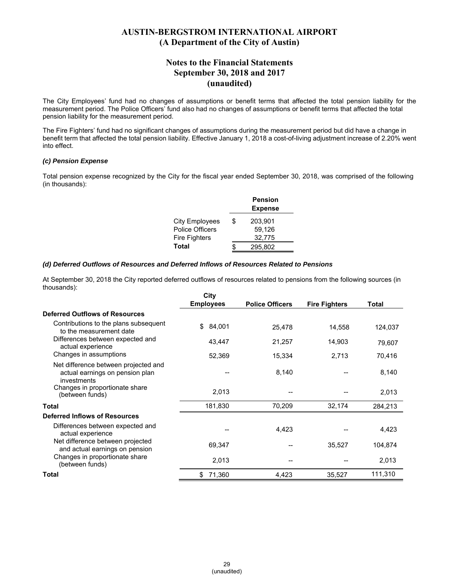### **Notes to the Financial Statements September 30, 2018 and 2017 (unaudited)**

The City Employees' fund had no changes of assumptions or benefit terms that affected the total pension liability for the measurement period. The Police Officers' fund also had no changes of assumptions or benefit terms that affected the total pension liability for the measurement period.

The Fire Fighters' fund had no significant changes of assumptions during the measurement period but did have a change in benefit term that affected the total pension liability. Effective January 1, 2018 a cost-of-living adjustment increase of 2.20% went into effect.

#### *(c) Pension Expense*

Total pension expense recognized by the City for the fiscal year ended September 30, 2018, was comprised of the following (in thousands):

|                        |    | <b>Pension</b><br><b>Expense</b> |
|------------------------|----|----------------------------------|
| City Employees         | \$ | 203,901                          |
| <b>Police Officers</b> |    | 59,126                           |
| <b>Fire Fighters</b>   |    | 32,775                           |
| Total                  | S  | 295,802                          |

#### *(d) Deferred Outflows of Resources and Deferred Inflows of Resources Related to Pensions*

At September 30, 2018 the City reported deferred outflows of resources related to pensions from the following sources (in thousands):

|                                                                                        | City             |                        |                      |         |
|----------------------------------------------------------------------------------------|------------------|------------------------|----------------------|---------|
|                                                                                        | <b>Employees</b> | <b>Police Officers</b> | <b>Fire Fighters</b> | Total   |
| <b>Deferred Outflows of Resources</b>                                                  |                  |                        |                      |         |
| Contributions to the plans subsequent<br>to the measurement date                       | 84,001<br>\$     | 25,478                 | 14,558               | 124,037 |
| Differences between expected and<br>actual experience                                  | 43,447           | 21,257                 | 14,903               | 79,607  |
| Changes in assumptions                                                                 | 52,369           | 15,334                 | 2,713                | 70,416  |
| Net difference between projected and<br>actual earnings on pension plan<br>investments |                  | 8,140                  |                      | 8,140   |
| Changes in proportionate share<br>(between funds)                                      | 2,013            |                        |                      | 2,013   |
| Total                                                                                  | 181,830          | 70,209                 | 32,174               | 284,213 |
| Deferred Inflows of Resources                                                          |                  |                        |                      |         |
| Differences between expected and<br>actual experience                                  |                  | 4,423                  |                      | 4,423   |
| Net difference between projected<br>and actual earnings on pension                     | 69,347           |                        | 35,527               | 104,874 |
| Changes in proportionate share<br>(between funds)                                      | 2,013            |                        |                      | 2,013   |
| Total                                                                                  | 71,360<br>\$     | 4,423                  | 35,527               | 111,310 |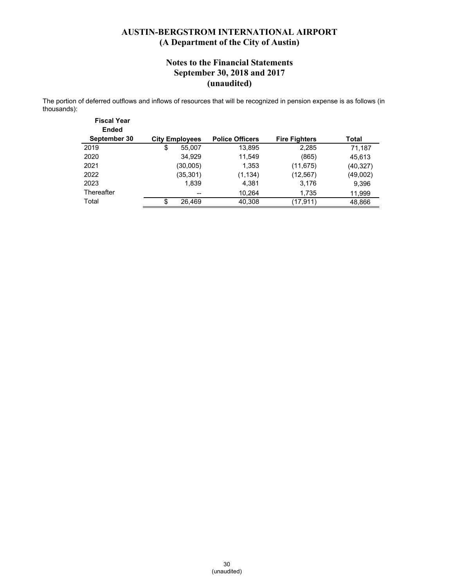### **Notes to the Financial Statements September 30, 2018 and 2017 (unaudited)**

The portion of deferred outflows and inflows of resources that will be recognized in pension expense is as follows (in thousands):

| <b>Fiscal Year</b><br><b>Ended</b><br>September 30 | <b>City Employees</b>    | <b>Police Officers</b> | <b>Fire Fighters</b> | Total    |
|----------------------------------------------------|--------------------------|------------------------|----------------------|----------|
| 2019                                               | \$<br>55,007             | 13,895                 | 2,285                | 71,187   |
| 2020                                               | 34,929                   | 11,549                 | (865)                | 45,613   |
| 2021                                               | (30,005)                 | 1,353                  | (11, 675)            | (40,327) |
| 2022                                               | (35,301)                 | (1, 134)               | (12,567)             | (49,002) |
| 2023                                               | 1,839                    | 4,381                  | 3,176                | 9,396    |
| Thereafter                                         | $\overline{\phantom{a}}$ | 10,264                 | 1,735                | 11,999   |
| Total                                              | 26,469                   | 40,308                 | (17,911)             | 48,866   |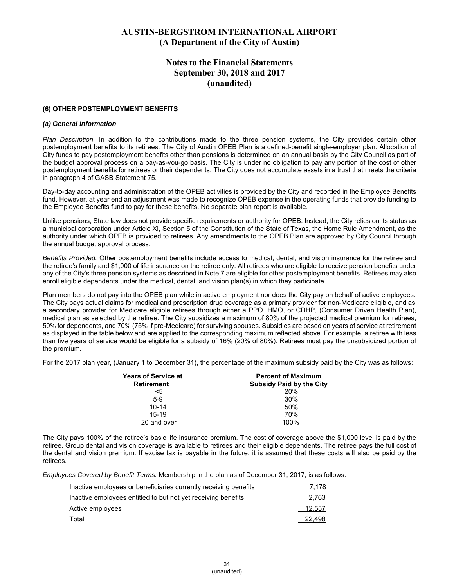### **Notes to the Financial Statements September 30, 2018 and 2017 (unaudited)**

#### **(6) OTHER POSTEMPLOYMENT BENEFITS**

#### *(a) General Information*

*Plan Description.* In addition to the contributions made to the three pension systems, the City provides certain other postemployment benefits to its retirees. The City of Austin OPEB Plan is a defined-benefit single-employer plan. Allocation of City funds to pay postemployment benefits other than pensions is determined on an annual basis by the City Council as part of the budget approval process on a pay-as-you-go basis. The City is under no obligation to pay any portion of the cost of other postemployment benefits for retirees or their dependents. The City does not accumulate assets in a trust that meets the criteria in paragraph 4 of GASB Statement 75.

Day-to-day accounting and administration of the OPEB activities is provided by the City and recorded in the Employee Benefits fund. However, at year end an adjustment was made to recognize OPEB expense in the operating funds that provide funding to the Employee Benefits fund to pay for these benefits. No separate plan report is available.

Unlike pensions, State law does not provide specific requirements or authority for OPEB. Instead, the City relies on its status as a municipal corporation under Article XI, Section 5 of the Constitution of the State of Texas, the Home Rule Amendment, as the authority under which OPEB is provided to retirees. Any amendments to the OPEB Plan are approved by City Council through the annual budget approval process.

*Benefits Provided.* Other postemployment benefits include access to medical, dental, and vision insurance for the retiree and the retiree's family and \$1,000 of life insurance on the retiree only. All retirees who are eligible to receive pension benefits under any of the City's three pension systems as described in Note 7 are eligible for other postemployment benefits. Retirees may also enroll eligible dependents under the medical, dental, and vision plan(s) in which they participate.

Plan members do not pay into the OPEB plan while in active employment nor does the City pay on behalf of active employees. The City pays actual claims for medical and prescription drug coverage as a primary provider for non-Medicare eligible, and as a secondary provider for Medicare eligible retirees through either a PPO, HMO, or CDHP, (Consumer Driven Health Plan), medical plan as selected by the retiree. The City subsidizes a maximum of 80% of the projected medical premium for retirees, 50% for dependents, and 70% (75% if pre-Medicare) for surviving spouses. Subsidies are based on years of service at retirement as displayed in the table below and are applied to the corresponding maximum reflected above. For example, a retiree with less than five years of service would be eligible for a subsidy of 16% (20% of 80%). Retirees must pay the unsubsidized portion of the premium.

For the 2017 plan year, (January 1 to December 31), the percentage of the maximum subsidy paid by the City was as follows:

| Years of Service at | <b>Percent of Maximum</b>       |
|---------------------|---------------------------------|
| <b>Retirement</b>   | <b>Subsidy Paid by the City</b> |
| <5                  | 20%                             |
| $5-9$               | 30%                             |
| $10 - 14$           | 50%                             |
| $15-19$             | 70%                             |
| 20 and over         | 100%                            |

The City pays 100% of the retiree's basic life insurance premium. The cost of coverage above the \$1,000 level is paid by the retiree. Group dental and vision coverage is available to retirees and their eligible dependents. The retiree pays the full cost of the dental and vision premium. If excise tax is payable in the future, it is assumed that these costs will also be paid by the retirees.

*Employees Covered by Benefit Terms:* Membership in the plan as of December 31, 2017, is as follows:

| Inactive employees or beneficiaries currently receiving benefits | 7.178  |
|------------------------------------------------------------------|--------|
| Inactive employees entitled to but not yet receiving benefits    | 2.763  |
| Active employees                                                 | 12,557 |
| Total                                                            | 22,498 |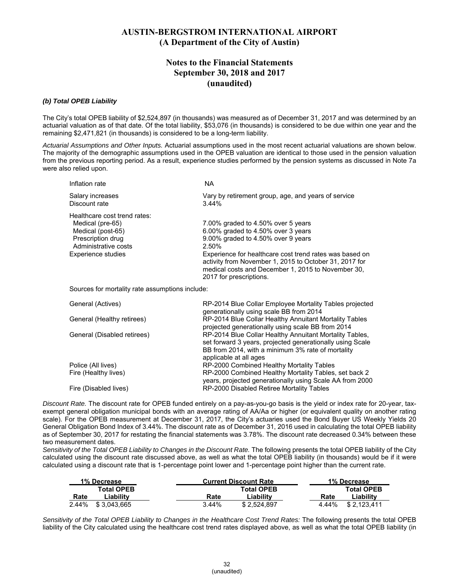### **Notes to the Financial Statements September 30, 2018 and 2017 (unaudited)**

#### *(b) Total OPEB Liability*

The City's total OPEB liability of \$2,524,897 (in thousands) was measured as of December 31, 2017 and was determined by an actuarial valuation as of that date. Of the total liability, \$53,076 (in thousands) is considered to be due within one year and the remaining \$2,471,821 (in thousands) is considered to be a long-term liability.

*Actuarial Assumptions and Other Inputs.* Actuarial assumptions used in the most recent actuarial valuations are shown below. The majority of the demographic assumptions used in the OPEB valuation are identical to those used in the pension valuation from the previous reporting period. As a result, experience studies performed by the pension systems as discussed in Note 7a were also relied upon.

| Inflation rate               | NA.                                                                                                                                                                                                |
|------------------------------|----------------------------------------------------------------------------------------------------------------------------------------------------------------------------------------------------|
| Salary increases             | Vary by retirement group, age, and years of service                                                                                                                                                |
| Discount rate                | 3.44%                                                                                                                                                                                              |
| Healthcare cost trend rates: |                                                                                                                                                                                                    |
| Medical (pre-65)             | 7.00% graded to 4.50% over 5 years                                                                                                                                                                 |
| Medical (post-65)            | 6.00% graded to 4.50% over 3 years                                                                                                                                                                 |
| Prescription drug            | 9.00% graded to 4.50% over 9 years                                                                                                                                                                 |
| Administrative costs         | 2.50%                                                                                                                                                                                              |
| Experience studies           | Experience for healthcare cost trend rates was based on<br>activity from November 1, 2015 to October 31, 2017 for<br>medical costs and December 1, 2015 to November 30,<br>2017 for prescriptions. |
|                              |                                                                                                                                                                                                    |

Sources for mortality rate assumptions include:

| General (Actives)           | RP-2014 Blue Collar Employee Mortality Tables projected<br>generationally using scale BB from 2014                                                                                                  |
|-----------------------------|-----------------------------------------------------------------------------------------------------------------------------------------------------------------------------------------------------|
| General (Healthy retirees)  | RP-2014 Blue Collar Healthy Annuitant Mortality Tables<br>projected generationally using scale BB from 2014                                                                                         |
| General (Disabled retirees) | RP-2014 Blue Collar Healthy Annuitant Mortality Tables,<br>set forward 3 years, projected generationally using Scale<br>BB from 2014, with a minimum 3% rate of mortality<br>applicable at all ages |
| Police (All lives)          | RP-2000 Combined Healthy Mortality Tables                                                                                                                                                           |
| Fire (Healthy lives)        | RP-2000 Combined Healthy Mortality Tables, set back 2<br>years, projected generationally using Scale AA from 2000                                                                                   |
| Fire (Disabled lives)       | RP-2000 Disabled Retiree Mortality Tables                                                                                                                                                           |

*Discount Rate.* The discount rate for OPEB funded entirely on a pay-as-you-go basis is the yield or index rate for 20-year, taxexempt general obligation municipal bonds with an average rating of AA/Aa or higher (or equivalent quality on another rating scale). For the OPEB measurement at December 31, 2017, the City's actuaries used the Bond Buyer US Weekly Yields 20 General Obligation Bond Index of 3.44%. The discount rate as of December 31, 2016 used in calculating the total OPEB liability as of September 30, 2017 for restating the financial statements was 3.78%. The discount rate decreased 0.34% between these two measurement dates.

Sensitivity of the Total OPEB Liability to Changes in the Discount Rate. The following presents the total OPEB liability of the City calculated using the discount rate discussed above, as well as what the total OPEB liability (in thousands) would be if it were calculated using a discount rate that is 1-percentage point lower and 1-percentage point higher than the current rate.

| 1% Decrease |                   |          | <b>Current Discount Rate</b> | 1% Decrease          |
|-------------|-------------------|----------|------------------------------|----------------------|
|             | <b>Total OPEB</b> |          | Total OPEB                   | Total OPEB           |
| Rate        | ∟iabilitv         | Rate     | Liability                    | Rate<br>∟iabilitv    |
| 2.44%       | \$3.043.665       | $3.44\%$ | \$2.524.897                  | 4.44%<br>\$2.123.411 |

*Sensitivity of the Total OPEB Liability to Changes in the Healthcare Cost Trend Rates:* The following presents the total OPEB liability of the City calculated using the healthcare cost trend rates displayed above, as well as what the total OPEB liability (in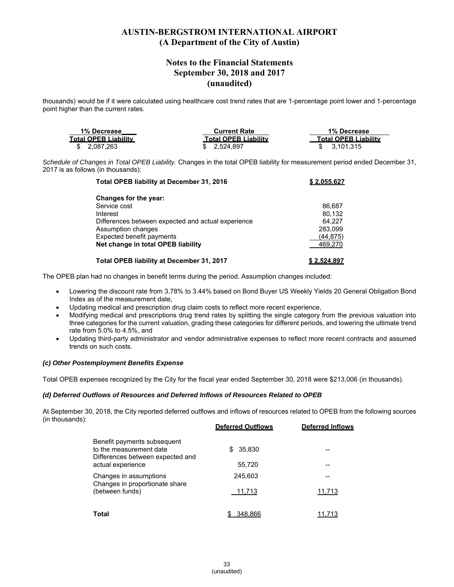### **Notes to the Financial Statements September 30, 2018 and 2017 (unaudited)**

thousands) would be if it were calculated using healthcare cost trend rates that are 1-percentage point lower and 1-percentage point higher than the current rates.

| 1% Decrease                 | <b>Current Rate</b>         | 1% Decrease                 |
|-----------------------------|-----------------------------|-----------------------------|
| <b>Total OPEB Liability</b> | <b>Total OPEB Liability</b> | <b>Total OPEB Liability</b> |
| \$ 2.087.263                | \$ 2.524.897                | \$ 3.101.315                |

*Schedule of Changes in Total OPEB Liability.* Changes in the total OPEB liability for measurement period ended December 31, 2017 is as follows (in thousands):

| Total OPEB liability at December 31, 2016          | \$2,055,627 |
|----------------------------------------------------|-------------|
| Changes for the year:                              |             |
| Service cost                                       | 86.687      |
| Interest                                           | 80.132      |
| Differences between expected and actual experience | 64.227      |
| Assumption changes                                 | 283,099     |
| Expected benefit payments                          | (44, 875)   |
| Net change in total OPEB liability                 | 469,270     |
| Total OPEB liability at December 31, 2017          | \$2.524.897 |

The OPEB plan had no changes in benefit terms during the period. Assumption changes included:

- Lowering the discount rate from 3.78% to 3.44% based on Bond Buyer US Weekly Yields 20 General Obligation Bond Index as of the measurement date,
- Updating medical and prescription drug claim costs to reflect more recent experience,
- Modifying medical and prescriptions drug trend rates by splitting the single category from the previous valuation into three categories for the current valuation, grading these categories for different periods, and lowering the ultimate trend rate from 5.0% to 4.5%, and
- Updating third-party administrator and vendor administrative expenses to reflect more recent contracts and assumed trends on such costs.

#### *(c) Other Postemployment Benefits Expense*

Total OPEB expenses recognized by the City for the fiscal year ended September 30, 2018 were \$213,006 (in thousands).

#### *(d) Deferred Outflows of Resources and Deferred Inflows of Resources Related to OPEB*

At September 30, 2018, the City reported deferred outflows and inflows of resources related to OPEB from the following sources (in thousands):

|                                                                                                                 | <b>Deferred Outflows</b> | <b>Deferred Inflows</b> |
|-----------------------------------------------------------------------------------------------------------------|--------------------------|-------------------------|
| Benefit payments subsequent<br>to the measurement date<br>Differences between expected and<br>actual experience | 35.830<br>\$.<br>55,720  |                         |
| Changes in assumptions<br>Changes in proportionate share<br>(between funds)                                     | 245.603                  |                         |
|                                                                                                                 | 11,713                   | 11,713                  |
| Total                                                                                                           | 348.866                  |                         |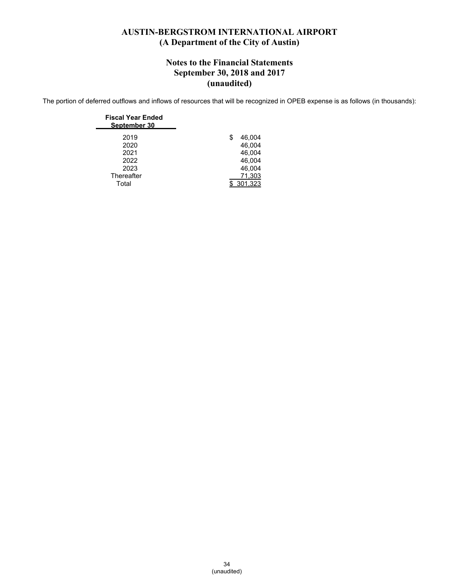### **Notes to the Financial Statements September 30, 2018 and 2017 (unaudited)**

The portion of deferred outflows and inflows of resources that will be recognized in OPEB expense is as follows (in thousands):

| <b>Fiscal Year Ended</b><br>September 30 |   |         |
|------------------------------------------|---|---------|
| 2019                                     | S | 46,004  |
| 2020                                     |   | 46.004  |
| 2021                                     |   | 46.004  |
| 2022                                     |   | 46.004  |
| 2023                                     |   | 46,004  |
| Thereafter                               |   | 71,303  |
| Total                                    |   | 301.323 |
|                                          |   |         |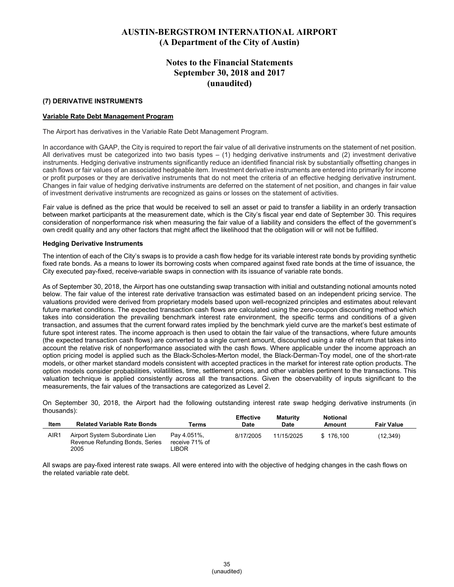### **Notes to the Financial Statements September 30, 2018 and 2017 (unaudited)**

#### **(7) DERIVATIVE INSTRUMENTS**

#### **Variable Rate Debt Management Program**

The Airport has derivatives in the Variable Rate Debt Management Program.

In accordance with GAAP, the City is required to report the fair value of all derivative instruments on the statement of net position. All derivatives must be categorized into two basis types – (1) hedging derivative instruments and (2) investment derivative instruments. Hedging derivative instruments significantly reduce an identified financial risk by substantially offsetting changes in cash flows or fair values of an associated hedgeable item. Investment derivative instruments are entered into primarily for income or profit purposes or they are derivative instruments that do not meet the criteria of an effective hedging derivative instrument. Changes in fair value of hedging derivative instruments are deferred on the statement of net position, and changes in fair value of investment derivative instruments are recognized as gains or losses on the statement of activities.

Fair value is defined as the price that would be received to sell an asset or paid to transfer a liability in an orderly transaction between market participants at the measurement date, which is the City's fiscal year end date of September 30. This requires consideration of nonperformance risk when measuring the fair value of a liability and considers the effect of the government's own credit quality and any other factors that might affect the likelihood that the obligation will or will not be fulfilled.

#### **Hedging Derivative Instruments**

The intention of each of the City's swaps is to provide a cash flow hedge for its variable interest rate bonds by providing synthetic fixed rate bonds. As a means to lower its borrowing costs when compared against fixed rate bonds at the time of issuance, the City executed pay-fixed, receive-variable swaps in connection with its issuance of variable rate bonds.

As of September 30, 2018, the Airport has one outstanding swap transaction with initial and outstanding notional amounts noted below. The fair value of the interest rate derivative transaction was estimated based on an independent pricing service. The valuations provided were derived from proprietary models based upon well-recognized principles and estimates about relevant future market conditions. The expected transaction cash flows are calculated using the zero-coupon discounting method which takes into consideration the prevailing benchmark interest rate environment, the specific terms and conditions of a given transaction, and assumes that the current forward rates implied by the benchmark yield curve are the market's best estimate of future spot interest rates. The income approach is then used to obtain the fair value of the transactions, where future amounts (the expected transaction cash flows) are converted to a single current amount, discounted using a rate of return that takes into account the relative risk of nonperformance associated with the cash flows. Where applicable under the income approach an option pricing model is applied such as the Black-Scholes-Merton model, the Black-Derman-Toy model, one of the short-rate models, or other market standard models consistent with accepted practices in the market for interest rate option products. The option models consider probabilities, volatilities, time, settlement prices, and other variables pertinent to the transactions. This valuation technique is applied consistently across all the transactions. Given the observability of inputs significant to the measurements, the fair values of the transactions are categorized as Level 2.

On September 30, 2018, the Airport had the following outstanding interest rate swap hedging derivative instruments (in thousands):

| Item | <b>Related Variable Rate Bonds</b>                                         | Terms                                   | <b>Effective</b><br>Date | Maturity<br>Date | <b>Notional</b><br>Amount | <b>Fair Value</b> |
|------|----------------------------------------------------------------------------|-----------------------------------------|--------------------------|------------------|---------------------------|-------------------|
| AIR1 | Airport System Subordinate Lien<br>Revenue Refunding Bonds, Series<br>2005 | Pav 4.051%.<br>receive 71% of<br>LIBOR. | 8/17/2005                | 11/15/2025       | \$176.100                 | (12, 349)         |

All swaps are pay-fixed interest rate swaps. All were entered into with the objective of hedging changes in the cash flows on the related variable rate debt.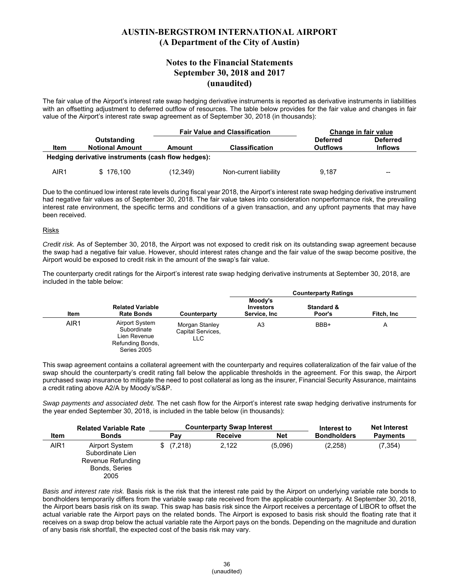### **Notes to the Financial Statements September 30, 2018 and 2017 (unaudited)**

The fair value of the Airport's interest rate swap hedging derivative instruments is reported as derivative instruments in liabilities with an offsetting adjustment to deferred outflow of resources. The table below provides for the fair value and changes in fair value of the Airport's interest rate swap agreement as of September 30, 2018 (in thousands):

|                                               |                                                    |           | <b>Fair Value and Classification</b> |                             | Change in fair value              |
|-----------------------------------------------|----------------------------------------------------|-----------|--------------------------------------|-----------------------------|-----------------------------------|
| Outstanding<br><b>Notional Amount</b><br>Item |                                                    | Amount    | <b>Classification</b>                | <b>Deferred</b><br>Outflows | <b>Deferred</b><br><b>Inflows</b> |
|                                               | Hedging derivative instruments (cash flow hedges): |           |                                      |                             |                                   |
| AIR1                                          | \$176,100                                          | (12, 349) | Non-current liability                | 9,187                       | --                                |

Due to the continued low interest rate levels during fiscal year 2018, the Airport's interest rate swap hedging derivative instrument had negative fair values as of September 30, 2018. The fair value takes into consideration nonperformance risk, the prevailing interest rate environment, the specific terms and conditions of a given transaction, and any upfront payments that may have been received.

#### Risks

*Credit risk.* As of September 30, 2018, the Airport was not exposed to credit risk on its outstanding swap agreement because the swap had a negative fair value. However, should interest rates change and the fair value of the swap become positive, the Airport would be exposed to credit risk in the amount of the swap's fair value.

The counterparty credit ratings for the Airport's interest rate swap hedging derivative instruments at September 30, 2018, are included in the table below:

|      |                                                                                  |                                             |                                              | <b>Counterparty Ratings</b>     |             |
|------|----------------------------------------------------------------------------------|---------------------------------------------|----------------------------------------------|---------------------------------|-------------|
| Item | <b>Related Variable</b><br><b>Rate Bonds</b>                                     | Counterparty                                | Moody's<br><b>Investors</b><br>Service, Inc. | <b>Standard &amp;</b><br>Poor's | Fitch, Inc. |
| AIR1 | Airport System<br>Subordinate<br>Lien Revenue<br>Refunding Bonds,<br>Series 2005 | Morgan Stanley<br>Capital Services,<br>LLC. | A <sub>3</sub>                               | BBB+                            | A           |

This swap agreement contains a collateral agreement with the counterparty and requires collateralization of the fair value of the swap should the counterparty's credit rating fall below the applicable thresholds in the agreement. For this swap, the Airport purchased swap insurance to mitigate the need to post collateral as long as the insurer, Financial Security Assurance, maintains a credit rating above A2/A by Moody's/S&P.

*Swap payments and associated debt.* The net cash flow for the Airport's interest rate swap hedging derivative instruments for the year ended September 30, 2018, is included in the table below (in thousands):

|             | <b>Related Variable Rate</b><br><b>Bonds</b>                                     |  | <b>Counterparty Swap Interest</b> |                |            | Interest to        | <b>Net Interest</b> |
|-------------|----------------------------------------------------------------------------------|--|-----------------------------------|----------------|------------|--------------------|---------------------|
| <b>Item</b> |                                                                                  |  | Pay                               | <b>Receive</b> | <b>Net</b> | <b>Bondholders</b> | <b>Payments</b>     |
| AIR1        | Airport System<br>Subordinate Lien<br>Revenue Refunding<br>Bonds, Series<br>2005 |  | \$(7,218)                         | 2,122          | (5,096)    | (2,258)            | (7, 354)            |

*Basis and interest rate risk.* Basis risk is the risk that the interest rate paid by the Airport on underlying variable rate bonds to bondholders temporarily differs from the variable swap rate received from the applicable counterparty. At September 30, 2018, the Airport bears basis risk on its swap. This swap has basis risk since the Airport receives a percentage of LIBOR to offset the actual variable rate the Airport pays on the related bonds. The Airport is exposed to basis risk should the floating rate that it receives on a swap drop below the actual variable rate the Airport pays on the bonds. Depending on the magnitude and duration of any basis risk shortfall, the expected cost of the basis risk may vary.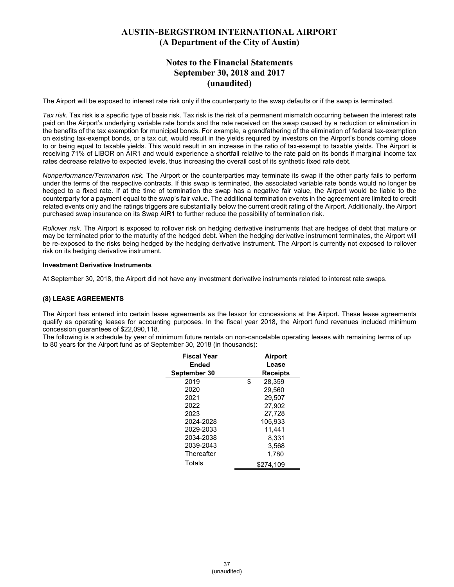### **Notes to the Financial Statements September 30, 2018 and 2017 (unaudited)**

The Airport will be exposed to interest rate risk only if the counterparty to the swap defaults or if the swap is terminated.

*Tax risk.* Tax risk is a specific type of basis risk. Tax risk is the risk of a permanent mismatch occurring between the interest rate paid on the Airport's underlying variable rate bonds and the rate received on the swap caused by a reduction or elimination in the benefits of the tax exemption for municipal bonds. For example, a grandfathering of the elimination of federal tax-exemption on existing tax-exempt bonds, or a tax cut, would result in the yields required by investors on the Airport's bonds coming close to or being equal to taxable yields. This would result in an increase in the ratio of tax-exempt to taxable yields. The Airport is receiving 71% of LIBOR on AIR1 and would experience a shortfall relative to the rate paid on its bonds if marginal income tax rates decrease relative to expected levels, thus increasing the overall cost of its synthetic fixed rate debt.

*Nonperformance/Termination risk.* The Airport or the counterparties may terminate its swap if the other party fails to perform under the terms of the respective contracts. If this swap is terminated, the associated variable rate bonds would no longer be hedged to a fixed rate. If at the time of termination the swap has a negative fair value, the Airport would be liable to the counterparty for a payment equal to the swap's fair value. The additional termination events in the agreement are limited to credit related events only and the ratings triggers are substantially below the current credit rating of the Airport. Additionally, the Airport purchased swap insurance on its Swap AIR1 to further reduce the possibility of termination risk.

*Rollover risk.* The Airport is exposed to rollover risk on hedging derivative instruments that are hedges of debt that mature or may be terminated prior to the maturity of the hedged debt. When the hedging derivative instrument terminates, the Airport will be re-exposed to the risks being hedged by the hedging derivative instrument. The Airport is currently not exposed to rollover risk on its hedging derivative instrument.

#### **Investment Derivative Instruments**

At September 30, 2018, the Airport did not have any investment derivative instruments related to interest rate swaps.

#### **(8) LEASE AGREEMENTS**

The Airport has entered into certain lease agreements as the lessor for concessions at the Airport. These lease agreements qualify as operating leases for accounting purposes. In the fiscal year 2018, the Airport fund revenues included minimum concession guarantees of \$22,090,118.

The following is a schedule by year of minimum future rentals on non-cancelable operating leases with remaining terms of up to 80 years for the Airport fund as of September 30, 2018 (in thousands):

| <b>Fiscal Year</b> | <b>Airport</b>  |  |
|--------------------|-----------------|--|
| Ended              | Lease           |  |
| September 30       | <b>Receipts</b> |  |
| 2019               | \$<br>28.359    |  |
| 2020               | 29.560          |  |
| 2021               | 29.507          |  |
| 2022               | 27.902          |  |
| 2023               | 27,728          |  |
| 2024-2028          | 105.933         |  |
| 2029-2033          | 11.441          |  |
| 2034-2038          | 8.331           |  |
| 2039-2043          | 3,568           |  |
| Thereafter         | 1,780           |  |
| Totals             | \$274.109       |  |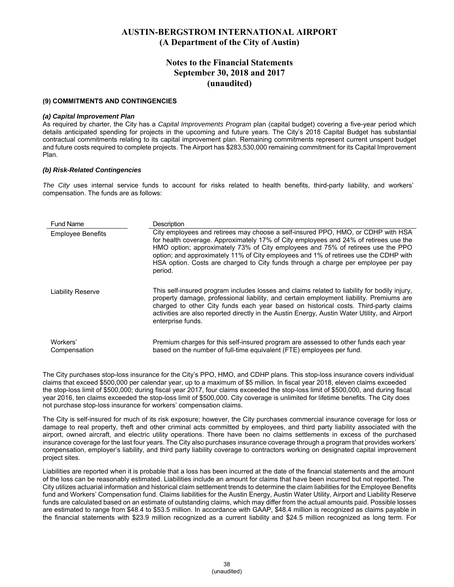### **Notes to the Financial Statements September 30, 2018 and 2017 (unaudited)**

#### **(9) COMMITMENTS AND CONTINGENCIES**

#### *(a) Capital Improvement Plan*

As required by charter, the City has a *Capital Improvements Program* plan (capital budget) covering a five-year period which details anticipated spending for projects in the upcoming and future years. The City's 2018 Capital Budget has substantial contractual commitments relating to its capital improvement plan. Remaining commitments represent current unspent budget and future costs required to complete projects. The Airport has \$283,530,000 remaining commitment for its Capital Improvement Plan.

#### *(b) Risk-Related Contingencies*

*The City* uses internal service funds to account for risks related to health benefits, third-party liability, and workers' compensation. The funds are as follows:

| <b>Fund Name</b>         | Description                                                                                                                                                                                                                                                                                                                                                                                                                                         |
|--------------------------|-----------------------------------------------------------------------------------------------------------------------------------------------------------------------------------------------------------------------------------------------------------------------------------------------------------------------------------------------------------------------------------------------------------------------------------------------------|
| <b>Employee Benefits</b> | City employees and retirees may choose a self-insured PPO, HMO, or CDHP with HSA<br>for health coverage. Approximately 17% of City employees and 24% of retirees use the<br>HMO option; approximately 73% of City employees and 75% of retirees use the PPO<br>option; and approximately 11% of City employees and 1% of retirees use the CDHP with<br>HSA option. Costs are charged to City funds through a charge per employee per pay<br>period. |
| <b>Liability Reserve</b> | This self-insured program includes losses and claims related to liability for bodily injury,<br>property damage, professional liability, and certain employment liability. Premiums are<br>charged to other City funds each year based on historical costs. Third-party claims<br>activities are also reported directly in the Austin Energy, Austin Water Utility, and Airport<br>enterprise funds.                                                |
| Workers'<br>Compensation | Premium charges for this self-insured program are assessed to other funds each year<br>based on the number of full-time equivalent (FTE) employees per fund.                                                                                                                                                                                                                                                                                        |

The City purchases stop-loss insurance for the City's PPO, HMO, and CDHP plans. This stop-loss insurance covers individual claims that exceed \$500,000 per calendar year, up to a maximum of \$5 million. In fiscal year 2018, eleven claims exceeded the stop-loss limit of \$500,000; during fiscal year 2017, four claims exceeded the stop-loss limit of \$500,000, and during fiscal year 2016, ten claims exceeded the stop-loss limit of \$500,000. City coverage is unlimited for lifetime benefits. The City does not purchase stop-loss insurance for workers' compensation claims.

The City is self-insured for much of its risk exposure; however, the City purchases commercial insurance coverage for loss or damage to real property, theft and other criminal acts committed by employees, and third party liability associated with the airport, owned aircraft, and electric utility operations. There have been no claims settlements in excess of the purchased insurance coverage for the last four years. The City also purchases insurance coverage through a program that provides workers' compensation, employer's liability, and third party liability coverage to contractors working on designated capital improvement project sites.

Liabilities are reported when it is probable that a loss has been incurred at the date of the financial statements and the amount of the loss can be reasonably estimated. Liabilities include an amount for claims that have been incurred but not reported. The City utilizes actuarial information and historical claim settlement trends to determine the claim liabilities for the Employee Benefits fund and Workers' Compensation fund. Claims liabilities for the Austin Energy, Austin Water Utility, Airport and Liability Reserve funds are calculated based on an estimate of outstanding claims, which may differ from the actual amounts paid. Possible losses are estimated to range from \$48.4 to \$53.5 million. In accordance with GAAP, \$48.4 million is recognized as claims payable in the financial statements with \$23.9 million recognized as a current liability and \$24.5 million recognized as long term. For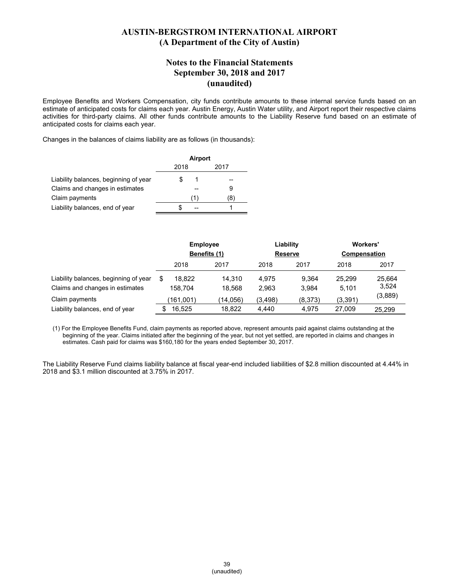#### **Notes to the Financial Statements September 30, 2018 and 2017 (unaudited)**

Employee Benefits and Workers Compensation, city funds contribute amounts to these internal service funds based on an estimate of anticipated costs for claims each year. Austin Energy, Austin Water utility, and Airport report their respective claims activities for third-party claims. All other funds contribute amounts to the Liability Reserve fund based on an estimate of anticipated costs for claims each year.

Changes in the balances of claims liability are as follows (in thousands):

|                                       | Airport |      |  |
|---------------------------------------|---------|------|--|
|                                       | 2018    | 2017 |  |
| Liability balances, beginning of year |         |      |  |
| Claims and changes in estimates       |         | 9    |  |
| Claim payments                        |         | 81   |  |
| Liability balances, end of year       |         |      |  |

|                                                                          | <b>Employee</b><br>Benefits (1) |                  | Liability<br><b>Reserve</b> |                | <b>Workers'</b><br>Compensation |                 |
|--------------------------------------------------------------------------|---------------------------------|------------------|-----------------------------|----------------|---------------------------------|-----------------|
|                                                                          | 2018                            | 2017             | 2018                        | 2017           | 2018                            | 2017            |
| Liability balances, beginning of year<br>Claims and changes in estimates | 18.822<br>\$<br>158.704         | 14,310<br>18.568 | 4.975<br>2.963              | 9,364<br>3.984 | 25,299<br>5,101                 | 25,664<br>3,524 |
| Claim payments                                                           | (161,001)                       | (14, 056)        | (3,498)                     | (8,373)        | (3,391)                         | (3,889)         |
| Liability balances, end of year                                          | 16,525                          | 18,822           | 4,440                       | 4,975          | 27,009                          | 25,299          |

(1) For the Employee Benefits Fund, claim payments as reported above, represent amounts paid against claims outstanding at the beginning of the year. Claims initiated after the beginning of the year, but not yet settled, are reported in claims and changes in estimates. Cash paid for claims was \$160,180 for the years ended September 30, 2017.

The Liability Reserve Fund claims liability balance at fiscal year-end included liabilities of \$2.8 million discounted at 4.44% in 2018 and \$3.1 million discounted at 3.75% in 2017.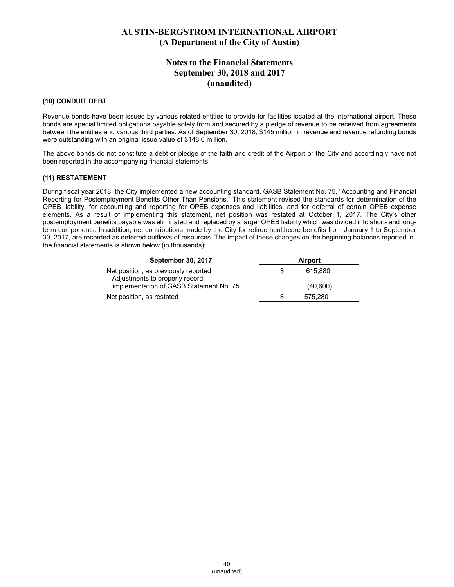### **Notes to the Financial Statements September 30, 2018 and 2017 (unaudited)**

#### **(10) CONDUIT DEBT**

Revenue bonds have been issued by various related entities to provide for facilities located at the international airport. These bonds are special limited obligations payable solely from and secured by a pledge of revenue to be received from agreements between the entities and various third parties. As of September 30, 2018, \$145 million in revenue and revenue refunding bonds were outstanding with an original issue value of \$148.6 million.

The above bonds do not constitute a debt or pledge of the faith and credit of the Airport or the City and accordingly have not been reported in the accompanying financial statements.

#### **(11) RESTATEMENT**

During fiscal year 2018, the City implemented a new accounting standard, GASB Statement No. 75, "Accounting and Financial Reporting for Postemployment Benefits Other Than Pensions." This statement revised the standards for determination of the OPEB liability, for accounting and reporting for OPEB expenses and liabilities, and for deferral of certain OPEB expense elements. As a result of implementing this statement, net position was restated at October 1, 2017. The City's other postemployment benefits payable was eliminated and replaced by a larger OPEB liability which was divided into short- and longterm components. In addition, net contributions made by the City for retiree healthcare benefits from January 1 to September 30, 2017, are recorded as deferred outflows of resources. The impact of these changes on the beginning balances reported in the financial statements is shown below (in thousands):

| <b>September 30, 2017</b>                                              | <b>Airport</b> |  |
|------------------------------------------------------------------------|----------------|--|
| Net position, as previously reported<br>Adjustments to properly record | 615.880        |  |
| implementation of GASB Statement No. 75                                | (40,600)       |  |
| Net position, as restated                                              | 575,280        |  |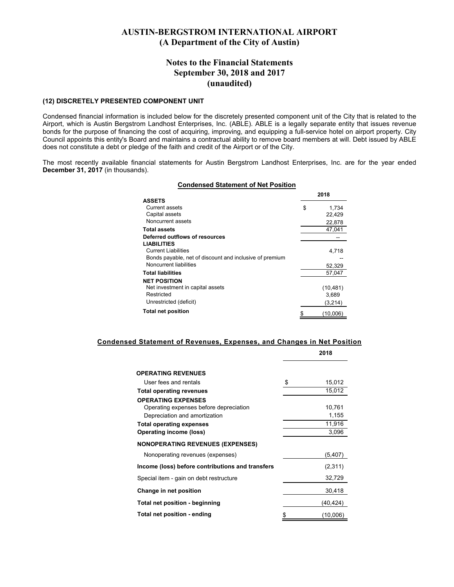#### **Notes to the Financial Statements September 30, 2018 and 2017 (unaudited)**

#### **(12) DISCRETELY PRESENTED COMPONENT UNIT**

Condensed financial information is included below for the discretely presented component unit of the City that is related to the Airport, which is Austin Bergstrom Landhost Enterprises, Inc. (ABLE). ABLE is a legally separate entity that issues revenue bonds for the purpose of financing the cost of acquiring, improving, and equipping a full-service hotel on airport property. City Council appoints this entity's Board and maintains a contractual ability to remove board members at will. Debt issued by ABLE does not constitute a debt or pledge of the faith and credit of the Airport or of the City.

The most recently available financial statements for Austin Bergstrom Landhost Enterprises, Inc. are for the year ended **December 31, 2017** (in thousands).

#### **Condensed Statement of Net Position**

|                                                         | 2018 |           |
|---------------------------------------------------------|------|-----------|
| <b>ASSETS</b>                                           |      |           |
| Current assets                                          | \$   | 1,734     |
| Capital assets                                          |      | 22,429    |
| Noncurrent assets                                       |      | 22,878    |
| <b>Total assets</b>                                     |      | 47.041    |
| Deferred outflows of resources                          |      |           |
| <b>LIABILITIES</b>                                      |      |           |
| <b>Current Liabilities</b>                              |      | 4,718     |
| Bonds payable, net of discount and inclusive of premium |      |           |
| Noncurrent liabilities                                  |      | 52,329    |
| <b>Total liabilities</b>                                |      | 57.047    |
| <b>NET POSITION</b>                                     |      |           |
| Net investment in capital assets                        |      | (10, 481) |
| Restricted                                              |      | 3,689     |
| Unrestricted (deficit)                                  |      | (3,214)   |
| <b>Total net position</b>                               |      | (10,006)  |

#### **Condensed Statement of Revenues, Expenses, and Changes in Net Position**

|                                                                                                      | 2018            |
|------------------------------------------------------------------------------------------------------|-----------------|
| <b>OPERATING REVENUES</b>                                                                            |                 |
| User fees and rentals                                                                                | \$<br>15,012    |
| <b>Total operating revenues</b>                                                                      | 15,012          |
| <b>OPERATING EXPENSES</b><br>Operating expenses before depreciation<br>Depreciation and amortization | 10,761<br>1,155 |
| <b>Total operating expenses</b>                                                                      | 11,916          |
| <b>Operating income (loss)</b>                                                                       | 3,096           |
| <b>NONOPERATING REVENUES (EXPENSES)</b>                                                              |                 |
| Nonoperating revenues (expenses)                                                                     | (5,407          |
| Income (loss) before contributions and transfers                                                     | (2,311)         |
| Special item - gain on debt restructure                                                              | 32,729          |
| Change in net position                                                                               | 30,418          |
| Total net position - beginning                                                                       | (40, 424)       |
| Total net position - ending                                                                          | \$<br>(10,006)  |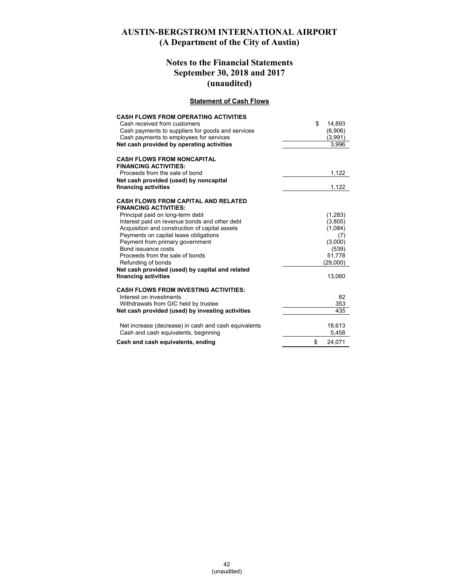## **Notes to the Financial Statements September 30, 2018 and 2017 (unaudited)**

#### **Statement of Cash Flows**

| <b>CASH FLOWS FROM OPERATING ACTIVITIES</b><br>Cash received from customers<br>Cash payments to suppliers for goods and services<br>Cash payments to employees for services<br>Net cash provided by operating activities | \$<br>14,893<br>(6,906)<br>(3,991)<br>3,996 |
|--------------------------------------------------------------------------------------------------------------------------------------------------------------------------------------------------------------------------|---------------------------------------------|
| <b>CASH FLOWS FROM NONCAPITAL</b><br><b>FINANCING ACTIVITIES:</b>                                                                                                                                                        |                                             |
| Proceeds from the sale of bond                                                                                                                                                                                           | 1,122                                       |
| Net cash provided (used) by noncapital                                                                                                                                                                                   |                                             |
| financing activities                                                                                                                                                                                                     | 1,122                                       |
| <b>CASH FLOWS FROM CAPITAL AND RELATED</b><br><b>FINANCING ACTIVITIES:</b>                                                                                                                                               |                                             |
| Principal paid on long-term debt                                                                                                                                                                                         | (1,283)                                     |
| Interest paid on revenue bonds and other debt                                                                                                                                                                            | (3,805)                                     |
| Acquisition and construction of capital assets                                                                                                                                                                           | (1,084)                                     |
| Payments on capital lease obligations                                                                                                                                                                                    | (7)                                         |
| Payment from primary government                                                                                                                                                                                          | (3,000)                                     |
| Bond issuance costs                                                                                                                                                                                                      | (539)                                       |
| Proceeds from the sale of bonds                                                                                                                                                                                          | 51.778                                      |
| Refunding of bonds                                                                                                                                                                                                       | (29,000)                                    |
| Net cash provided (used) by capital and related<br>financing activities                                                                                                                                                  | 13,060                                      |
|                                                                                                                                                                                                                          |                                             |
| <b>CASH FLOWS FROM INVESTING ACTIVITIES:</b>                                                                                                                                                                             |                                             |
| Interest on investments                                                                                                                                                                                                  | 82                                          |
| Withdrawals from GIC held by trustee                                                                                                                                                                                     | 353                                         |
| Net cash provided (used) by investing activities                                                                                                                                                                         | 435                                         |
| Net increase (decrease) in cash and cash equivalents                                                                                                                                                                     | 18,613                                      |
| Cash and cash equivalents, beginning                                                                                                                                                                                     | 5,458                                       |
| Cash and cash equivalents, ending                                                                                                                                                                                        | \$<br>24,071                                |